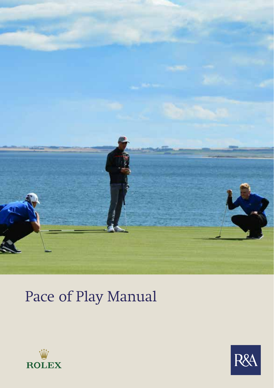

## Pace of Play Manual



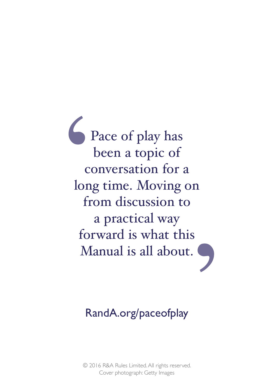Pace of play has been a topic of conversation for a long time. Moving on from discussion to a practical way forward is what this Manual is all about.

### RandA.org/paceofplay

© 2016 R&A Rules Limited. All rights reserved. Cover photograph: Getty Images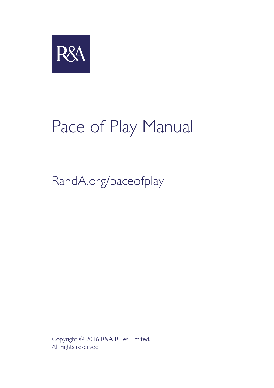

# Pace of Play Manual

### RandA.org/paceofplay

Copyright © 2016 R&A Rules Limited. All rights reserved.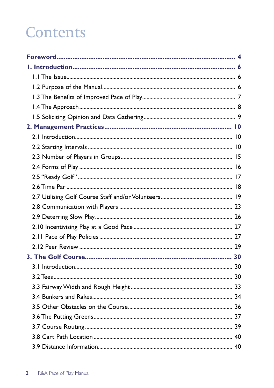### **Contents**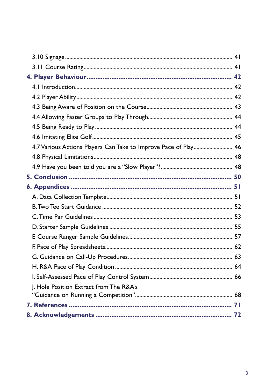| 4.7 Various Actions Players Can Take to Improve Pace of Play 46 |  |
|-----------------------------------------------------------------|--|
|                                                                 |  |
|                                                                 |  |
|                                                                 |  |
|                                                                 |  |
|                                                                 |  |
|                                                                 |  |
|                                                                 |  |
|                                                                 |  |
|                                                                 |  |
|                                                                 |  |
|                                                                 |  |
|                                                                 |  |
|                                                                 |  |
| J. Hole Position Extract from The R&A's                         |  |
|                                                                 |  |
|                                                                 |  |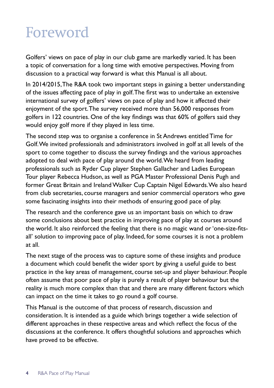### Foreword

Golfers' views on pace of play in our club game are markedly varied. It has been a topic of conversation for a long time with emotive perspectives. Moving from discussion to a practical way forward is what this Manual is all about.

In 2014/2015, The R&A took two important steps in gaining a better understanding of the issues affecting pace of play in golf. The first was to undertake an extensive international survey of golfers' views on pace of play and how it affected their enjoyment of the sport. The survey received more than 56,000 responses from golfers in 122 countries. One of the key findings was that 60% of golfers said they would enjoy golf more if they played in less time.

The second step was to organise a conference in St Andrews entitled Time for Golf. We invited professionals and administrators involved in golf at all levels of the sport to come together to discuss the survey findings and the various approaches adopted to deal with pace of play around the world. We heard from leading professionals such as Ryder Cup player Stephen Gallacher and Ladies European Tour player Rebecca Hudson, as well as PGA Master Professional Denis Pugh and former Great Britain and Ireland Walker Cup Captain Nigel Edwards. We also heard from club secretaries, course managers and senior commercial operators who gave some fascinating insights into their methods of ensuring good pace of play.

The research and the conference gave us an important basis on which to draw some conclusions about best practice in improving pace of play at courses around the world. It also reinforced the feeling that there is no magic wand or 'one-size-fitsall' solution to improving pace of play. Indeed, for some courses it is not a problem at all.

The next stage of the process was to capture some of these insights and produce a document which could benefit the wider sport by giving a useful guide to best practice in the key areas of management, course set-up and player behaviour. People often assume that poor pace of play is purely a result of player behaviour but the reality is much more complex than that and there are many different factors which can impact on the time it takes to go round a golf course.

This Manual is the outcome of that process of research, discussion and consideration. It is intended as a guide which brings together a wide selection of different approaches in these respective areas and which reflect the focus of the discussions at the conference. It offers thoughtful solutions and approaches which have proved to be effective.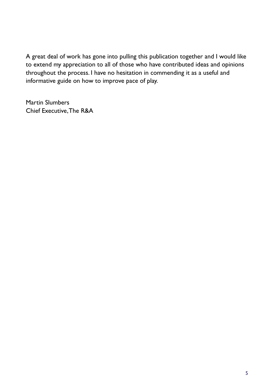A great deal of work has gone into pulling this publication together and I would like to extend my appreciation to all of those who have contributed ideas and opinions throughout the process. I have no hesitation in commending it as a useful and informative guide on how to improve pace of play.

Martin Slumbers Chief Executive, The R&A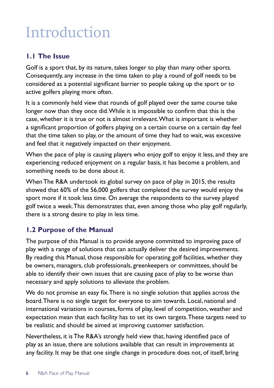### **Introduction**

#### **1.1 The Issue**

Golf is a sport that, by its nature, takes longer to play than many other sports. Consequently, any increase in the time taken to play a round of golf needs to be considered as a potential significant barrier to people taking up the sport or to active golfers playing more often.

It is a commonly held view that rounds of golf played over the same course take longer now than they once did. While it is impossible to confirm that this is the case, whether it is true or not is almost irrelevant. What is important is whether a significant proportion of golfers playing on a certain course on a certain day feel that the time taken to play, or the amount of time they had to wait, was excessive and feel that it negatively impacted on their enjoyment.

When the pace of play is causing players who enjoy golf to enjoy it less, and they are experiencing reduced enjoyment on a regular basis, it has become a problem, and something needs to be done about it.

When The R&A undertook its global survey on pace of play in 2015, the results showed that 60% of the 56,000 golfers that completed the survey would enjoy the sport more if it took less time. On average the respondents to the survey played golf twice a week. This demonstrates that, even among those who play golf regularly, there is a strong desire to play in less time.

#### **1.2 Purpose of the Manual**

The purpose of this Manual is to provide anyone committed to improving pace of play with a range of solutions that can actually deliver the desired improvements. By reading this Manual, those responsible for operating golf facilities, whether they be owners, managers, club professionals, greenkeepers or committees, should be able to identify their own issues that are causing pace of play to be worse than necessary and apply solutions to alleviate the problem.

We do not promise an easy fix. There is no single solution that applies across the board. There is no single target for everyone to aim towards. Local, national and international variations in courses, forms of play, level of competition, weather and expectation mean that each facility has to set its own targets. These targets need to be realistic and should be aimed at improving customer satisfaction.

Nevertheless, it is The R&A's strongly held view that, having identified pace of play as an issue, there are solutions available that can result in improvements at any facility. It may be that one single change in procedure does not, of itself, bring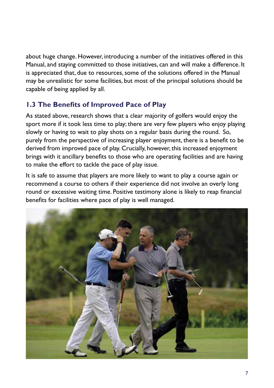about huge change. However, introducing a number of the initiatives offered in this Manual, and staying committed to those initiatives, can and will make a difference. It is appreciated that, due to resources, some of the solutions offered in the Manual may be unrealistic for some facilities, but most of the principal solutions should be capable of being applied by all.

#### **1.3 The Benefits of Improved Pace of Play**

As stated above, research shows that a clear majority of golfers would enjoy the sport more if it took less time to play; there are very few players who enjoy playing slowly or having to wait to play shots on a regular basis during the round. So, purely from the perspective of increasing player enjoyment, there is a benefit to be derived from improved pace of play. Crucially, however, this increased enjoyment brings with it ancillary benefits to those who are operating facilities and are having to make the effort to tackle the pace of play issue.

It is safe to assume that players are more likely to want to play a course again or recommend a course to others if their experience did not involve an overly long round or excessive waiting time. Positive testimony alone is likely to reap financial benefits for facilities where pace of play is well managed.

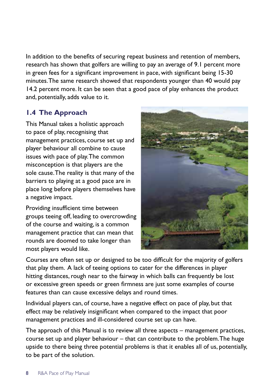In addition to the benefits of securing repeat business and retention of members, research has shown that golfers are willing to pay an average of 9.1 percent more in green fees for a significant improvement in pace, with significant being 15-30 minutes. The same research showed that respondents younger than 40 would pay 14.2 percent more. It can be seen that a good pace of play enhances the product and, potentially, adds value to it.

#### **1.4 The Approach**

This Manual takes a holistic approach to pace of play, recognising that management practices, course set up and player behaviour all combine to cause issues with pace of play. The common misconception is that players are the sole cause. The reality is that many of the barriers to playing at a good pace are in place long before players themselves have a negative impact.

Providing insufficient time between groups teeing off, leading to overcrowding of the course and waiting, is a common management practice that can mean that rounds are doomed to take longer than most players would like.



Courses are often set up or designed to be too difficult for the majority of golfers that play them. A lack of teeing options to cater for the differences in player hitting distances, rough near to the fairway in which balls can frequently be lost or excessive green speeds or green firmness are just some examples of course features than can cause excessive delays and round times.

Individual players can, of course, have a negative effect on pace of play, but that effect may be relatively insignificant when compared to the impact that poor management practices and ill-considered course set up can have.

The approach of this Manual is to review all three aspects – management practices, course set up and player behaviour – that can contribute to the problem. The huge upside to there being three potential problems is that it enables all of us, potentially, to be part of the solution.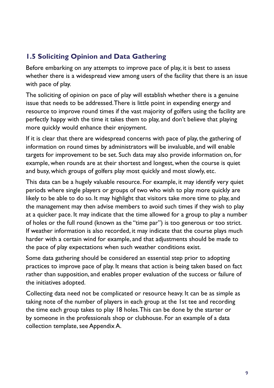#### **1.5 Soliciting Opinion and Data Gathering**

Before embarking on any attempts to improve pace of play, it is best to assess whether there is a widespread view among users of the facility that there is an issue with pace of play.

The soliciting of opinion on pace of play will establish whether there is a genuine issue that needs to be addressed. There is little point in expending energy and resource to improve round times if the vast majority of golfers using the facility are perfectly happy with the time it takes them to play, and don't believe that playing more quickly would enhance their enjoyment.

If it is clear that there are widespread concerns with pace of play, the gathering of information on round times by administrators will be invaluable, and will enable targets for improvement to be set. Such data may also provide information on, for example, when rounds are at their shortest and longest, when the course is quiet and busy, which groups of golfers play most quickly and most slowly, etc.

This data can be a hugely valuable resource. For example, it may identify very quiet periods where single players or groups of two who wish to play more quickly are likely to be able to do so. It may highlight that visitors take more time to play, and the management may then advise members to avoid such times if they wish to play at a quicker pace. It may indicate that the time allowed for a group to play a number of holes or the full round (known as the "time par") is too generous or too strict. If weather information is also recorded, it may indicate that the course plays much harder with a certain wind for example, and that adjustments should be made to the pace of play expectations when such weather conditions exist.

Some data gathering should be considered an essential step prior to adopting practices to improve pace of play. It means that action is being taken based on fact rather than supposition, and enables proper evaluation of the success or failure of the initiatives adopted.

Collecting data need not be complicated or resource heavy. It can be as simple as taking note of the number of players in each group at the 1st tee and recording the time each group takes to play 18 holes. This can be done by the starter or by someone in the professionals shop or clubhouse. For an example of a data collection template, see Appendix A.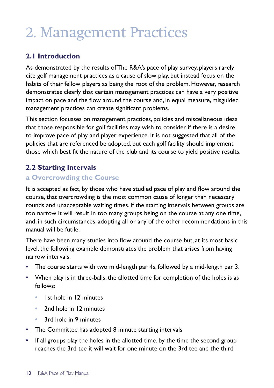### 2. Management Practices

#### **2.1 Introduction**

As demonstrated by the results of The R&A's pace of play survey, players rarely cite golf management practices as a cause of slow play, but instead focus on the habits of their fellow players as being the root of the problem. However, research demonstrates clearly that certain management practices can have a very positive impact on pace and the flow around the course and, in equal measure, misguided management practices can create significant problems.

This section focusses on management practices, policies and miscellaneous ideas that those responsible for golf facilities may wish to consider if there is a desire to improve pace of play and player experience. It is not suggested that all of the policies that are referenced be adopted, but each golf facility should implement those which best fit the nature of the club and its course to yield positive results.

#### **2.2 Starting Intervals**

#### **a Overcrowding the Course**

It is accepted as fact, by those who have studied pace of play and flow around the course, that overcrowding is the most common cause of longer than necessary rounds and unacceptable waiting times. If the starting intervals between groups are too narrow it will result in too many groups being on the course at any one time, and, in such circumstances, adopting all or any of the other recommendations in this manual will be futile.

There have been many studies into flow around the course but, at its most basic level, the following example demonstrates the problem that arises from having narrow intervals:

- **•** The course starts with two mid-length par 4s, followed by a mid-length par 3.
- **•** When play is in three-balls, the allotted time for completion of the holes is as follows:
	- **•** 1st hole in 12 minutes
	- **•** 2nd hole in 12 minutes
	- **•** 3rd hole in 9 minutes
- **•** The Committee has adopted 8 minute starting intervals
- **•** If all groups play the holes in the allotted time, by the time the second group reaches the 3rd tee it will wait for one minute on the 3rd tee and the third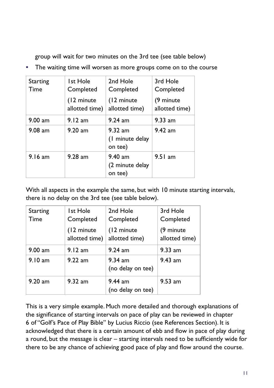group will wait for two minutes on the 3rd tee (see table below)

**•** The waiting time will worsen as more groups come on to the course

| Starting<br>Time | Ist Hole<br>Completed         | 2nd Hole<br>Completed                   | 3rd Hole<br>Completed       |
|------------------|-------------------------------|-----------------------------------------|-----------------------------|
|                  | (12 minute)<br>allotted time) | (12 minute)<br>allotted time)           | (9 minute<br>allotted time) |
| $9.00$ am        | 9.12 am                       | $9.24$ am                               | $9.33$ am                   |
| $9.08$ am        | $9.20$ am                     | $9.32$ am<br>(1 minute delay<br>on tee) | $9.42$ am                   |
| $9.16$ am        | $9.28$ am                     | $9.40$ am<br>(2 minute delay<br>on tee) | $9.51$ am                   |

With all aspects in the example the same, but with 10 minute starting intervals, there is no delay on the 3rd tee (see table below).

| Starting<br>Time | <b>Ist Hole</b><br>Completed  | 2nd Hole<br>Completed          | 3rd Hole<br>Completed        |
|------------------|-------------------------------|--------------------------------|------------------------------|
|                  | (12 minute)<br>allotted time) | (12 minute)<br>allotted time)  | (9 minute)<br>allotted time) |
| $9.00$ am        | 9.12 am                       | $9.24$ am                      | $9.33$ am                    |
| 9.10 am          | $9.22$ am                     | $9.34$ am<br>(no delay on tee) | $9.43$ am                    |
| $9.20$ am        | $9.32$ am                     | $9.44$ am<br>(no delay on tee) | $9.53$ am                    |

This is a very simple example. Much more detailed and thorough explanations of the significance of starting intervals on pace of play can be reviewed in chapter 6 of "Golf's Pace of Play Bible" by Lucius Riccio (see References Section). It is acknowledged that there is a certain amount of ebb and flow in pace of play during a round, but the message is clear – starting intervals need to be sufficiently wide for there to be any chance of achieving good pace of play and flow around the course.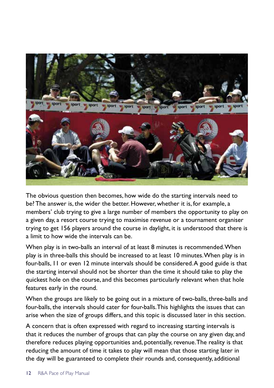

The obvious question then becomes, how wide do the starting intervals need to be? The answer is, the wider the better. However, whether it is, for example, a members' club trying to give a large number of members the opportunity to play on a given day, a resort course trying to maximise revenue or a tournament organiser trying to get 156 players around the course in daylight, it is understood that there is a limit to how wide the intervals can be.

When play is in two-balls an interval of at least 8 minutes is recommended. When play is in three-balls this should be increased to at least 10 minutes. When play is in four-balls, 11 or even 12 minute intervals should be considered. A good guide is that the starting interval should not be shorter than the time it should take to play the quickest hole on the course, and this becomes particularly relevant when that hole features early in the round.

When the groups are likely to be going out in a mixture of two-balls, three-balls and four-balls, the intervals should cater for four-balls. This highlights the issues that can arise when the size of groups differs, and this topic is discussed later in this section.

A concern that is often expressed with regard to increasing starting intervals is that it reduces the number of groups that can play the course on any given day, and therefore reduces playing opportunities and, potentially, revenue. The reality is that reducing the amount of time it takes to play will mean that those starting later in the day will be guaranteed to complete their rounds and, consequently, additional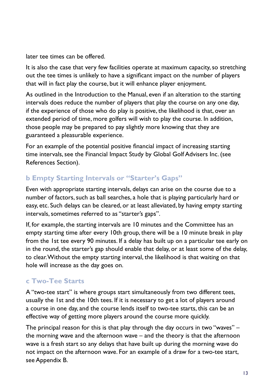later tee times can be offered.

It is also the case that very few facilities operate at maximum capacity, so stretching out the tee times is unlikely to have a significant impact on the number of players that will in fact play the course, but it will enhance player enjoyment.

As outlined in the Introduction to the Manual, even if an alteration to the starting intervals does reduce the number of players that play the course on any one day, if the experience of those who do play is positive, the likelihood is that, over an extended period of time, more golfers will wish to play the course. In addition, those people may be prepared to pay slightly more knowing that they are guaranteed a pleasurable experience.

For an example of the potential positive financial impact of increasing starting time intervals, see the Financial Impact Study by Global Golf Advisers Inc. (see References Section).

#### **b Empty Starting Intervals or "Starter's Gaps"**

Even with appropriate starting intervals, delays can arise on the course due to a number of factors, such as ball searches, a hole that is playing particularly hard or easy, etc. Such delays can be cleared, or at least alleviated, by having empty starting intervals, sometimes referred to as "starter's gaps".

If, for example, the starting intervals are 10 minutes and the Committee has an empty starting time after every 10th group, there will be a 10 minute break in play from the 1st tee every 90 minutes. If a delay has built up on a particular tee early on in the round, the starter's gap should enable that delay, or at least some of the delay, to clear. Without the empty starting interval, the likelihood is that waiting on that hole will increase as the day goes on.

#### **c Two-Tee Starts**

A "two-tee start" is where groups start simultaneously from two different tees, usually the 1st and the 10th tees. If it is necessary to get a lot of players around a course in one day, and the course lends itself to two-tee starts, this can be an effective way of getting more players around the course more quickly.

The principal reason for this is that play through the day occurs in two "waves" – the morning wave and the afternoon wave – and the theory is that the afternoon wave is a fresh start so any delays that have built up during the morning wave do not impact on the afternoon wave. For an example of a draw for a two-tee start, see Appendix B.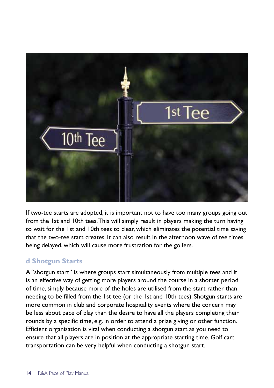

If two-tee starts are adopted, it is important not to have too many groups going out from the 1st and 10th tees. This will simply result in players making the turn having to wait for the 1st and 10th tees to clear, which eliminates the potential time saving that the two-tee start creates. It can also result in the afternoon wave of tee times being delayed, which will cause more frustration for the golfers.

#### **d Shotgun Starts**

A "shotgun start" is where groups start simultaneously from multiple tees and it is an effective way of getting more players around the course in a shorter period of time, simply because more of the holes are utilised from the start rather than needing to be filled from the 1st tee (or the 1st and 10th tees). Shotgun starts are more common in club and corporate hospitality events where the concern may be less about pace of play than the desire to have all the players completing their rounds by a specific time, e.g. in order to attend a prize giving or other function. Efficient organisation is vital when conducting a shotgun start as you need to ensure that all players are in position at the appropriate starting time. Golf cart transportation can be very helpful when conducting a shotgun start.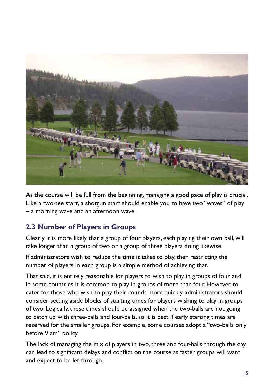

As the course will be full from the beginning, managing a good pace of play is crucial. Like a two-tee start, a shotgun start should enable you to have two "waves" of play – a morning wave and an afternoon wave.

#### **2.3 Number of Players in Groups**

Clearly it is more likely that a group of four players, each playing their own ball, will take longer than a group of two or a group of three players doing likewise.

If administrators wish to reduce the time it takes to play, then restricting the number of players in each group is a simple method of achieving that.

That said, it is entirely reasonable for players to wish to play in groups of four, and in some countries it is common to play in groups of more than four. However, to cater for those who wish to play their rounds more quickly, administrators should consider setting aside blocks of starting times for players wishing to play in groups of two. Logically, these times should be assigned when the two-balls are not going to catch up with three-balls and four-balls, so it is best if early starting times are reserved for the smaller groups. For example, some courses adopt a "two-balls only before 9 am" policy.

The lack of managing the mix of players in two, three and four-balls through the day can lead to significant delays and conflict on the course as faster groups will want and expect to be let through.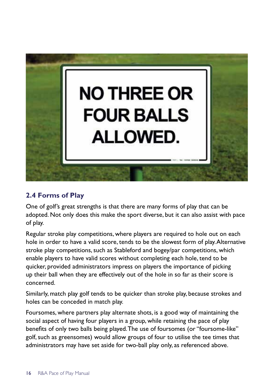

#### **2.4 Forms of Play**

One of golf's great strengths is that there are many forms of play that can be adopted. Not only does this make the sport diverse, but it can also assist with pace of play.

Regular stroke play competitions, where players are required to hole out on each hole in order to have a valid score, tends to be the slowest form of play. Alternative stroke play competitions, such as Stableford and bogey/par competitions, which enable players to have valid scores without completing each hole, tend to be quicker, provided administrators impress on players the importance of picking up their ball when they are effectively out of the hole in so far as their score is concerned.

Similarly, match play golf tends to be quicker than stroke play, because strokes and holes can be conceded in match play.

Foursomes, where partners play alternate shots, is a good way of maintaining the social aspect of having four players in a group, while retaining the pace of play benefits of only two balls being played. The use of foursomes (or "foursome-like" golf, such as greensomes) would allow groups of four to utilise the tee times that administrators may have set aside for two-ball play only, as referenced above.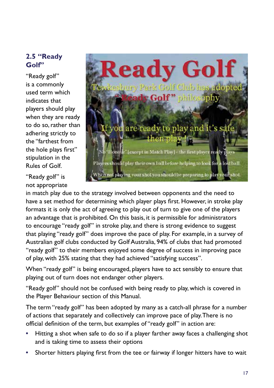#### **2.5 "Ready Golf"**

"Ready golf" is a commonly used term which indicates that players should play when they are ready to do so, rather than adhering strictly to the "farthest from the hole plays first" stipulation in the Rules of Golf.

"Ready golf" is not appropriate



in match play due to the strategy involved between opponents and the need to have a set method for determining which player plays first. However, in stroke play formats it is only the act of agreeing to play out of turn to give one of the players an advantage that is prohibited. On this basis, it is permissible for administrators to encourage "ready golf" in stroke play, and there is strong evidence to suggest that playing "ready golf" does improve the pace of play. For example, in a survey of Australian golf clubs conducted by Golf Australia, 94% of clubs that had promoted "ready golf" to their members enjoyed some degree of success in improving pace of play, with 25% stating that they had achieved "satisfying success".

When "ready golf" is being encouraged, players have to act sensibly to ensure that playing out of turn does not endanger other players.

"Ready golf" should not be confused with being ready to play, which is covered in the Player Behaviour section of this Manual.

The term "ready golf" has been adopted by many as a catch-all phrase for a number of actions that separately and collectively can improve pace of play. There is no official definition of the term, but examples of "ready golf" in action are:

- **•** Hitting a shot when safe to do so if a player farther away faces a challenging shot and is taking time to assess their options
- **•** Shorter hitters playing first from the tee or fairway if longer hitters have to wait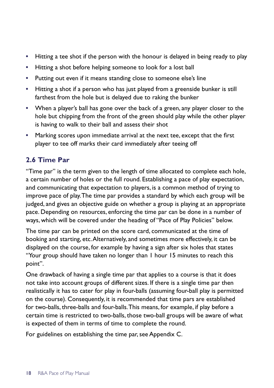- **•** Hitting a tee shot if the person with the honour is delayed in being ready to play
- **•** Hitting a shot before helping someone to look for a lost ball
- **•** Putting out even if it means standing close to someone else's line
- **•** Hitting a shot if a person who has just played from a greenside bunker is still farthest from the hole but is delayed due to raking the bunker
- **•** When a player's ball has gone over the back of a green, any player closer to the hole but chipping from the front of the green should play while the other player is having to walk to their ball and assess their shot
- **•** Marking scores upon immediate arrival at the next tee, except that the first player to tee off marks their card immediately after teeing off

#### **2.6 Time Par**

"Time par" is the term given to the length of time allocated to complete each hole, a certain number of holes or the full round. Establishing a pace of play expectation, and communicating that expectation to players, is a common method of trying to improve pace of play. The time par provides a standard by which each group will be judged, and gives an objective guide on whether a group is playing at an appropriate pace. Depending on resources, enforcing the time par can be done in a number of ways, which will be covered under the heading of "Pace of Play Policies" below.

The time par can be printed on the score card, communicated at the time of booking and starting, etc. Alternatively, and sometimes more effectively, it can be displayed on the course, for example by having a sign after six holes that states "Your group should have taken no longer than 1 hour 15 minutes to reach this point".

One drawback of having a single time par that applies to a course is that it does not take into account groups of different sizes. If there is a single time par then realistically it has to cater for play in four-balls (assuming four-ball play is permitted on the course). Consequently, it is recommended that time pars are established for two-balls, three-balls and four-balls. This means, for example, if play before a certain time is restricted to two-balls, those two-ball groups will be aware of what is expected of them in terms of time to complete the round.

For guidelines on establishing the time par, see Appendix C.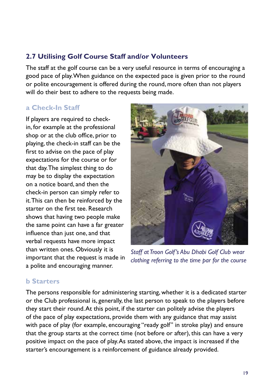#### **2.7 Utilising Golf Course Staff and/or Volunteers**

The staff at the golf course can be a very useful resource in terms of encouraging a good pace of play. When guidance on the expected pace is given prior to the round or polite encouragement is offered during the round, more often than not players will do their best to adhere to the requests being made.

#### **a Check-In Staff**

If players are required to checkin, for example at the professional shop or at the club office, prior to playing, the check-in staff can be the first to advise on the pace of play expectations for the course or for that day. The simplest thing to do may be to display the expectation on a notice board, and then the check-in person can simply refer to it. This can then be reinforced by the starter on the first tee. Research shows that having two people make the same point can have a far greater influence than just one, and that verbal requests have more impact than written ones. Obviously it is important that the request is made in a polite and encouraging manner.



*Staff at Troon Golf's Abu Dhabi Golf Club wear clothing referring to the time par for the course*

#### **b Starters**

The persons responsible for administering starting, whether it is a dedicated starter or the Club professional is, generally, the last person to speak to the players before they start their round. At this point, if the starter can politely advise the players of the pace of play expectations, provide them with any guidance that may assist with pace of play (for example, encouraging "ready golf" in stroke play) and ensure that the group starts at the correct time (not before or after), this can have a very positive impact on the pace of play. As stated above, the impact is increased if the starter's encouragement is a reinforcement of guidance already provided.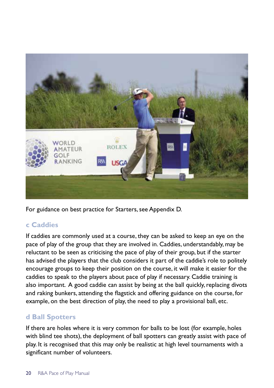

For guidance on best practice for Starters, see Appendix D.

#### **c Caddies**

If caddies are commonly used at a course, they can be asked to keep an eye on the pace of play of the group that they are involved in. Caddies, understandably, may be reluctant to be seen as criticising the pace of play of their group, but if the starter has advised the players that the club considers it part of the caddie's role to politely encourage groups to keep their position on the course, it will make it easier for the caddies to speak to the players about pace of play if necessary. Caddie training is also important. A good caddie can assist by being at the ball quickly, replacing divots and raking bunkers, attending the flagstick and offering guidance on the course, for example, on the best direction of play, the need to play a provisional ball, etc.

#### **d Ball Spotters**

If there are holes where it is very common for balls to be lost (for example, holes with blind tee shots), the deployment of ball spotters can greatly assist with pace of play. It is recognised that this may only be realistic at high level tournaments with a significant number of volunteers.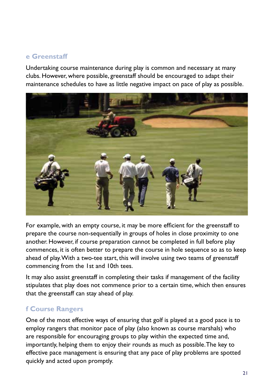#### **e Greenstaff**

Undertaking course maintenance during play is common and necessary at many clubs. However, where possible, greenstaff should be encouraged to adapt their maintenance schedules to have as little negative impact on pace of play as possible.



For example, with an empty course, it may be more efficient for the greenstaff to prepare the course non-sequentially in groups of holes in close proximity to one another. However, if course preparation cannot be completed in full before play commences, it is often better to prepare the course in hole sequence so as to keep ahead of play. With a two-tee start, this will involve using two teams of greenstaff commencing from the 1st and 10th tees.

It may also assist greenstaff in completing their tasks if management of the facility stipulates that play does not commence prior to a certain time, which then ensures that the greenstaff can stay ahead of play.

#### **f Course Rangers**

One of the most effective ways of ensuring that golf is played at a good pace is to employ rangers that monitor pace of play (also known as course marshals) who are responsible for encouraging groups to play within the expected time and, importantly, helping them to enjoy their rounds as much as possible. The key to effective pace management is ensuring that any pace of play problems are spotted quickly and acted upon promptly.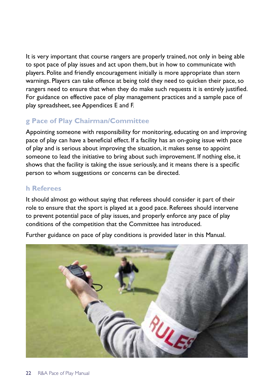It is very important that course rangers are properly trained, not only in being able to spot pace of play issues and act upon them, but in how to communicate with players. Polite and friendly encouragement initially is more appropriate than stern warnings. Players can take offence at being told they need to quicken their pace, so rangers need to ensure that when they do make such requests it is entirely justified. For guidance on effective pace of play management practices and a sample pace of play spreadsheet, see Appendices E and F.

#### **g Pace of Play Chairman/Committee**

Appointing someone with responsibility for monitoring, educating on and improving pace of play can have a beneficial effect. If a facility has an on-going issue with pace of play and is serious about improving the situation, it makes sense to appoint someone to lead the initiative to bring about such improvement. If nothing else, it shows that the facility is taking the issue seriously, and it means there is a specific person to whom suggestions or concerns can be directed.

#### **h Referees**

It should almost go without saying that referees should consider it part of their role to ensure that the sport is played at a good pace. Referees should intervene to prevent potential pace of play issues, and properly enforce any pace of play conditions of the competition that the Committee has introduced.



Further guidance on pace of play conditions is provided later in this Manual.

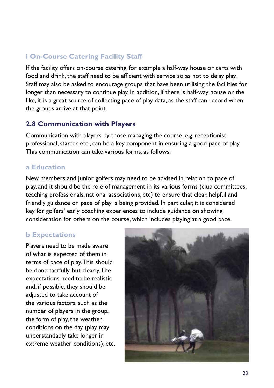#### **i On-Course Catering Facility Staff**

If the facility offers on-course catering, for example a half-way house or carts with food and drink, the staff need to be efficient with service so as not to delay play. Staff may also be asked to encourage groups that have been utilising the facilities for longer than necessary to continue play. In addition, if there is half-way house or the like, it is a great source of collecting pace of play data, as the staff can record when the groups arrive at that point.

#### **2.8 Communication with Players**

Communication with players by those managing the course, e.g. receptionist, professional, starter, etc., can be a key component in ensuring a good pace of play. This communication can take various forms, as follows:

#### **a Education**

New members and junior golfers may need to be advised in relation to pace of play, and it should be the role of management in its various forms (club committees, teaching professionals, national associations, etc) to ensure that clear, helpful and friendly guidance on pace of play is being provided. In particular, it is considered key for golfers' early coaching experiences to include guidance on showing consideration for others on the course, which includes playing at a good pace.

#### **b Expectations**

Players need to be made aware of what is expected of them in terms of pace of play. This should be done tactfully, but clearly. The expectations need to be realistic and, if possible, they should be adjusted to take account of the various factors, such as the number of players in the group, the form of play, the weather conditions on the day (play may understandably take longer in extreme weather conditions), etc.

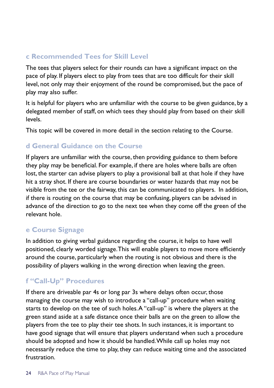#### **c Recommended Tees for Skill Level**

The tees that players select for their rounds can have a significant impact on the pace of play. If players elect to play from tees that are too difficult for their skill level, not only may their enjoyment of the round be compromised, but the pace of play may also suffer.

It is helpful for players who are unfamiliar with the course to be given guidance, by a delegated member of staff, on which tees they should play from based on their skill levels.

This topic will be covered in more detail in the section relating to the Course.

#### **d General Guidance on the Course**

If players are unfamiliar with the course, then providing guidance to them before they play may be beneficial. For example, if there are holes where balls are often lost, the starter can advise players to play a provisional ball at that hole if they have hit a stray shot. If there are course boundaries or water hazards that may not be visible from the tee or the fairway, this can be communicated to players. In addition, if there is routing on the course that may be confusing, players can be advised in advance of the direction to go to the next tee when they come off the green of the relevant hole.

#### **e Course Signage**

In addition to giving verbal guidance regarding the course, it helps to have well positioned, clearly worded signage. This will enable players to move more efficiently around the course, particularly when the routing is not obvious and there is the possibility of players walking in the wrong direction when leaving the green.

#### **f "Call-Up" Procedures**

If there are driveable par 4s or long par 3s where delays often occur, those managing the course may wish to introduce a "call-up" procedure when waiting starts to develop on the tee of such holes. A "call-up" is where the players at the green stand aside at a safe distance once their balls are on the green to allow the players from the tee to play their tee shots. In such instances, it is important to have good signage that will ensure that players understand when such a procedure should be adopted and how it should be handled. While call up holes may not necessarily reduce the time to play, they can reduce waiting time and the associated frustration.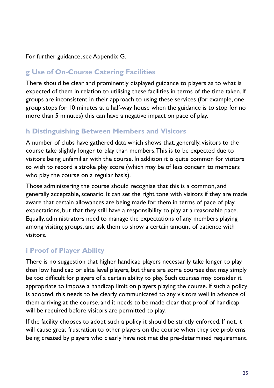For further guidance, see Appendix G.

#### **g Use of On-Course Catering Facilities**

There should be clear and prominently displayed guidance to players as to what is expected of them in relation to utilising these facilities in terms of the time taken. If groups are inconsistent in their approach to using these services (for example, one group stops for 10 minutes at a half-way house when the guidance is to stop for no more than 5 minutes) this can have a negative impact on pace of play.

#### **h Distinguishing Between Members and Visitors**

A number of clubs have gathered data which shows that, generally, visitors to the course take slightly longer to play than members. This is to be expected due to visitors being unfamiliar with the course. In addition it is quite common for visitors to wish to record a stroke play score (which may be of less concern to members who play the course on a regular basis).

Those administering the course should recognise that this is a common, and generally acceptable, scenario. It can set the right tone with visitors if they are made aware that certain allowances are being made for them in terms of pace of play expectations, but that they still have a responsibility to play at a reasonable pace. Equally, administrators need to manage the expectations of any members playing among visiting groups, and ask them to show a certain amount of patience with visitors.

#### **i Proof of Player Ability**

There is no suggestion that higher handicap players necessarily take longer to play than low handicap or elite level players, but there are some courses that may simply be too difficult for players of a certain ability to play. Such courses may consider it appropriate to impose a handicap limit on players playing the course. If such a policy is adopted, this needs to be clearly communicated to any visitors well in advance of them arriving at the course, and it needs to be made clear that proof of handicap will be required before visitors are permitted to play.

If the facility chooses to adopt such a policy it should be strictly enforced. If not, it will cause great frustration to other players on the course when they see problems being created by players who clearly have not met the pre-determined requirement.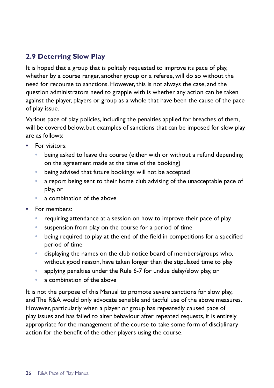#### **2.9 Deterring Slow Play**

It is hoped that a group that is politely requested to improve its pace of play, whether by a course ranger, another group or a referee, will do so without the need for recourse to sanctions. However, this is not always the case, and the question administrators need to grapple with is whether any action can be taken against the player, players or group as a whole that have been the cause of the pace of play issue.

Various pace of play policies, including the penalties applied for breaches of them, will be covered below, but examples of sanctions that can be imposed for slow play are as follows:

- **•** For visitors:
	- **•** being asked to leave the course (either with or without a refund depending on the agreement made at the time of the booking)
	- **•** being advised that future bookings will not be accepted
	- **•** a report being sent to their home club advising of the unacceptable pace of play, or
	- **•** a combination of the above
- **•** For members:
	- **•** requiring attendance at a session on how to improve their pace of play
	- **•** suspension from play on the course for a period of time
	- **•** being required to play at the end of the field in competitions for a specified period of time
	- **•** displaying the names on the club notice board of members/groups who, without good reason, have taken longer than the stipulated time to play
	- **•** applying penalties under the Rule 6-7 for undue delay/slow play, or
	- **•** a combination of the above

It is not the purpose of this Manual to promote severe sanctions for slow play, and The R&A would only advocate sensible and tactful use of the above measures. However, particularly when a player or group has repeatedly caused pace of play issues and has failed to alter behaviour after repeated requests, it is entirely appropriate for the management of the course to take some form of disciplinary action for the benefit of the other players using the course.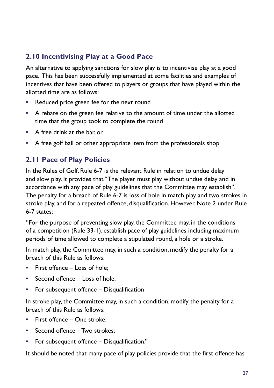#### **2.10 Incentivising Play at a Good Pace**

An alternative to applying sanctions for slow play is to incentivise play at a good pace. This has been successfully implemented at some facilities and examples of incentives that have been offered to players or groups that have played within the allotted time are as follows:

- **•** Reduced price green fee for the next round
- **•** A rebate on the green fee relative to the amount of time under the allotted time that the group took to complete the round
- **•** A free drink at the bar, or
- **•** A free golf ball or other appropriate item from the professionals shop

#### **2.11 Pace of Play Policies**

In the Rules of Golf, Rule 6-7 is the relevant Rule in relation to undue delay and slow play. It provides that "The player must play without undue delay and in accordance with any pace of play guidelines that the Committee may establish". The penalty for a breach of Rule 6-7 is loss of hole in match play and two strokes in stroke play, and for a repeated offence, disqualification. However, Note 2 under Rule 6-7 states:

"For the purpose of preventing slow play, the Committee may, in the conditions of a competition (Rule 33-1), establish pace of play guidelines including maximum periods of time allowed to complete a stipulated round, a hole or a stroke.

In match play, the Committee may, in such a condition, modify the penalty for a breach of this Rule as follows:

- **•** First offence Loss of hole;
- **•** Second offence Loss of hole;
- **•** For subsequent offence Disqualification

In stroke play, the Committee may, in such a condition, modify the penalty for a breach of this Rule as follows:

- **•** First offence One stroke;
- **•** Second offence Two strokes;
- **•** For subsequent offence Disqualification."

It should be noted that many pace of play policies provide that the first offence has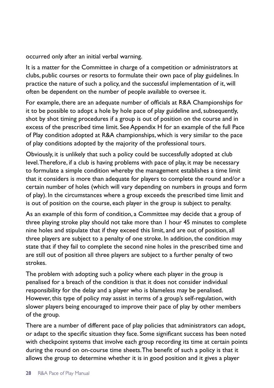occurred only after an initial verbal warning.

It is a matter for the Committee in charge of a competition or administrators at clubs, public courses or resorts to formulate their own pace of play guidelines. In practice the nature of such a policy, and the successful implementation of it, will often be dependent on the number of people available to oversee it.

For example, there are an adequate number of officials at R&A Championships for it to be possible to adopt a hole by hole pace of play guideline and, subsequently, shot by shot timing procedures if a group is out of position on the course and in excess of the prescribed time limit. See Appendix H for an example of the full Pace of Play condition adopted at R&A championships, which is very similar to the pace of play conditions adopted by the majority of the professional tours.

Obviously, it is unlikely that such a policy could be successfully adopted at club level. Therefore, if a club is having problems with pace of play, it may be necessary to formulate a simple condition whereby the management establishes a time limit that it considers is more than adequate for players to complete the round and/or a certain number of holes (which will vary depending on numbers in groups and form of play). In the circumstances where a group exceeds the prescribed time limit and is out of position on the course, each player in the group is subject to penalty.

As an example of this form of condition, a Committee may decide that a group of three playing stroke play should not take more than 1 hour 45 minutes to complete nine holes and stipulate that if they exceed this limit, and are out of position, all three players are subject to a penalty of one stroke. In addition, the condition may state that if they fail to complete the second nine holes in the prescribed time and are still out of position all three players are subject to a further penalty of two strokes.

The problem with adopting such a policy where each player in the group is penalised for a breach of the condition is that it does not consider individual responsibility for the delay and a player who is blameless may be penalised. However, this type of policy may assist in terms of a group's self-regulation, with slower players being encouraged to improve their pace of play by other members of the group.

There are a number of different pace of play policies that administrators can adopt, or adapt to the specific situation they face. Some significant success has been noted with checkpoint systems that involve each group recording its time at certain points during the round on on-course time sheets. The benefit of such a policy is that it allows the group to determine whether it is in good position and it gives a player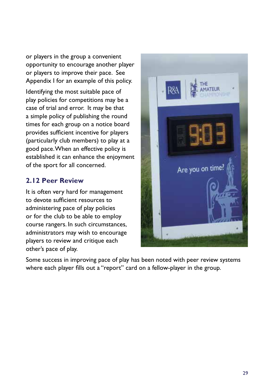or players in the group a convenient opportunity to encourage another player or players to improve their pace. See Appendix I for an example of this policy.

Identifying the most suitable pace of play policies for competitions may be a case of trial and error. It may be that a simple policy of publishing the round times for each group on a notice board provides sufficient incentive for players (particularly club members) to play at a good pace. When an effective policy is established it can enhance the enjoyment of the sport for all concerned.

#### **2.12 Peer Review**

It is often very hard for management to devote sufficient resources to administering pace of play policies or for the club to be able to employ course rangers. In such circumstances, administrators may wish to encourage players to review and critique each other's pace of play.



Some success in improving pace of play has been noted with peer review systems where each player fills out a "report" card on a fellow-player in the group.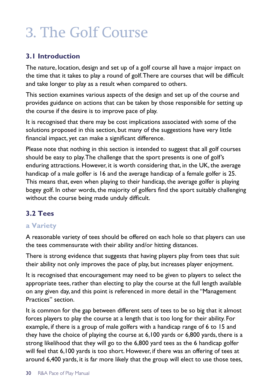## 3. The Golf Course

#### **3.1 Introduction**

The nature, location, design and set up of a golf course all have a major impact on the time that it takes to play a round of golf. There are courses that will be difficult and take longer to play as a result when compared to others.

This section examines various aspects of the design and set up of the course and provides guidance on actions that can be taken by those responsible for setting up the course if the desire is to improve pace of play.

It is recognised that there may be cost implications associated with some of the solutions proposed in this section, but many of the suggestions have very little financial impact, yet can make a significant difference.

Please note that nothing in this section is intended to suggest that all golf courses should be easy to play. The challenge that the sport presents is one of golf's enduring attractions. However, it is worth considering that, in the UK, the average handicap of a male golfer is 16 and the average handicap of a female golfer is 25. This means that, even when playing to their handicap, the average golfer is playing bogey golf. In other words, the majority of golfers find the sport suitably challenging without the course being made unduly difficult.

#### **3.2 Tees**

#### **a Variety**

A reasonable variety of tees should be offered on each hole so that players can use the tees commensurate with their ability and/or hitting distances.

There is strong evidence that suggests that having players play from tees that suit their ability not only improves the pace of play, but increases player enjoyment.

It is recognised that encouragement may need to be given to players to select the appropriate tees, rather than electing to play the course at the full length available on any given day, and this point is referenced in more detail in the "Management Practices" section.

It is common for the gap between different sets of tees to be so big that it almost forces players to play the course at a length that is too long for their ability. For example, if there is a group of male golfers with a handicap range of 6 to 15 and they have the choice of playing the course at 6,100 yards or 6,800 yards, there is a strong likelihood that they will go to the 6,800 yard tees as the 6 handicap golfer will feel that 6,100 yards is too short. However, if there was an offering of tees at around 6,400 yards, it is far more likely that the group will elect to use those tees,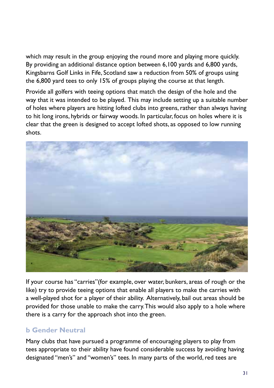which may result in the group enjoying the round more and playing more quickly. By providing an additional distance option between 6,100 yards and 6,800 yards, Kingsbarns Golf Links in Fife, Scotland saw a reduction from 50% of groups using the 6,800 yard tees to only 15% of groups playing the course at that length.

Provide all golfers with teeing options that match the design of the hole and the way that it was intended to be played. This may include setting up a suitable number of holes where players are hitting lofted clubs into greens, rather than always having to hit long irons, hybrids or fairway woods. In particular, focus on holes where it is clear that the green is designed to accept lofted shots, as opposed to low running shots.



If your course has "carries"(for example, over water, bunkers, areas of rough or the like) try to provide teeing options that enable all players to make the carries with a well-played shot for a player of their ability. Alternatively, bail out areas should be provided for those unable to make the carry. This would also apply to a hole where there is a carry for the approach shot into the green.

#### **b Gender Neutral**

Many clubs that have pursued a programme of encouraging players to play from tees appropriate to their ability have found considerable success by avoiding having designated "men's" and "women's" tees. In many parts of the world, red tees are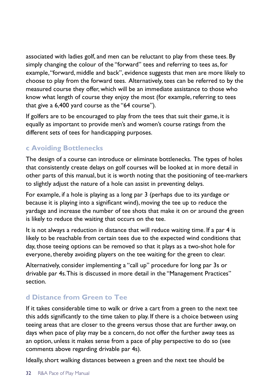associated with ladies golf, and men can be reluctant to play from these tees. By simply changing the colour of the "forward" tees and referring to tees as, for example, "forward, middle and back", evidence suggests that men are more likely to choose to play from the forward tees. Alternatively, tees can be referred to by the measured course they offer, which will be an immediate assistance to those who know what length of course they enjoy the most (for example, referring to tees that give a 6,400 yard course as the "64 course").

If golfers are to be encouraged to play from the tees that suit their game, it is equally as important to provide men's and women's course ratings from the different sets of tees for handicapping purposes.

#### **c Avoiding Bottlenecks**

The design of a course can introduce or eliminate bottlenecks. The types of holes that consistently create delays on golf courses will be looked at in more detail in other parts of this manual, but it is worth noting that the positioning of tee-markers to slightly adjust the nature of a hole can assist in preventing delays.

For example, if a hole is playing as a long par 3 (perhaps due to its yardage or because it is playing into a significant wind), moving the tee up to reduce the yardage and increase the number of tee shots that make it on or around the green is likely to reduce the waiting that occurs on the tee.

It is not always a reduction in distance that will reduce waiting time. If a par 4 is likely to be reachable from certain tees due to the expected wind conditions that day, those teeing options can be removed so that it plays as a two-shot hole for everyone, thereby avoiding players on the tee waiting for the green to clear.

Alternatively, consider implementing a "call up" procedure for long par 3s or drivable par 4s. This is discussed in more detail in the "Management Practices" section.

#### **d Distance from Green to Tee**

If it takes considerable time to walk or drive a cart from a green to the next tee this adds significantly to the time taken to play. If there is a choice between using teeing areas that are closer to the greens versus those that are further away, on days when pace of play may be a concern, do not offer the further away tees as an option, unless it makes sense from a pace of play perspective to do so (see comments above regarding drivable par 4s).

Ideally, short walking distances between a green and the next tee should be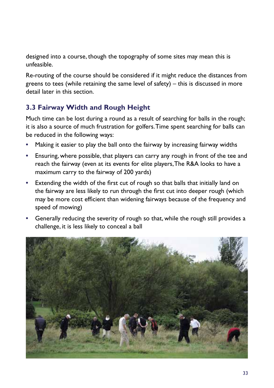designed into a course, though the topography of some sites may mean this is unfeasible.

Re-routing of the course should be considered if it might reduce the distances from greens to tees (while retaining the same level of safety) – this is discussed in more detail later in this section.

#### **3.3 Fairway Width and Rough Height**

Much time can be lost during a round as a result of searching for balls in the rough; it is also a source of much frustration for golfers. Time spent searching for balls can be reduced in the following ways:

- **•** Making it easier to play the ball onto the fairway by increasing fairway widths
- **•** Ensuring, where possible, that players can carry any rough in front of the tee and reach the fairway (even at its events for elite players, The R&A looks to have a maximum carry to the fairway of 200 yards)
- **•** Extending the width of the first cut of rough so that balls that initially land on the fairway are less likely to run through the first cut into deeper rough (which may be more cost efficient than widening fairways because of the frequency and speed of mowing)
- **•** Generally reducing the severity of rough so that, while the rough still provides a challenge, it is less likely to conceal a ball

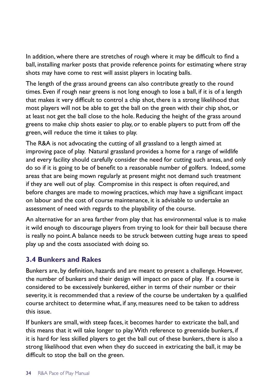In addition, where there are stretches of rough where it may be difficult to find a ball, installing marker posts that provide reference points for estimating where stray shots may have come to rest will assist players in locating balls.

The length of the grass around greens can also contribute greatly to the round times. Even if rough near greens is not long enough to lose a ball, if it is of a length that makes it very difficult to control a chip shot, there is a strong likelihood that most players will not be able to get the ball on the green with their chip shot, or at least not get the ball close to the hole. Reducing the height of the grass around greens to make chip shots easier to play, or to enable players to putt from off the green, will reduce the time it takes to play.

The R&A is not advocating the cutting of all grassland to a length aimed at improving pace of play. Natural grassland provides a home for a range of wildlife and every facility should carefully consider the need for cutting such areas, and only do so if it is going to be of benefit to a reasonable number of golfers. Indeed, some areas that are being mown regularly at present might not demand such treatment if they are well out of play. Compromise in this respect is often required, and before changes are made to mowing practices, which may have a significant impact on labour and the cost of course maintenance, it is advisable to undertake an assessment of need with regards to the playability of the course.

An alternative for an area farther from play that has environmental value is to make it wild enough to discourage players from trying to look for their ball because there is really no point. A balance needs to be struck between cutting huge areas to speed play up and the costs associated with doing so.

#### **3.4 Bunkers and Rakes**

Bunkers are, by definition, hazards and are meant to present a challenge. However, the number of bunkers and their design will impact on pace of play. If a course is considered to be excessively bunkered, either in terms of their number or their severity, it is recommended that a review of the course be undertaken by a qualified course architect to determine what, if any, measures need to be taken to address this issue.

If bunkers are small, with steep faces, it becomes harder to extricate the ball, and this means that it will take longer to play. With reference to greenside bunkers, if it is hard for less skilled players to get the ball out of these bunkers, there is also a strong likelihood that even when they do succeed in extricating the ball, it may be difficult to stop the ball on the green.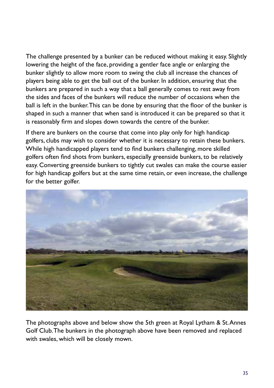The challenge presented by a bunker can be reduced without making it easy. Slightly lowering the height of the face, providing a gentler face angle or enlarging the bunker slightly to allow more room to swing the club all increase the chances of players being able to get the ball out of the bunker. In addition, ensuring that the bunkers are prepared in such a way that a ball generally comes to rest away from the sides and faces of the bunkers will reduce the number of occasions when the ball is left in the bunker. This can be done by ensuring that the floor of the bunker is shaped in such a manner that when sand is introduced it can be prepared so that it is reasonably firm and slopes down towards the centre of the bunker.

If there are bunkers on the course that come into play only for high handicap golfers, clubs may wish to consider whether it is necessary to retain these bunkers. While high handicapped players tend to find bunkers challenging, more skilled golfers often find shots from bunkers, especially greenside bunkers, to be relatively easy. Converting greenside bunkers to tightly cut swales can make the course easier for high handicap golfers but at the same time retain, or even increase, the challenge for the better golfer.



The photographs above and below show the 5th green at Royal Lytham & St. Annes Golf Club. The bunkers in the photograph above have been removed and replaced with swales, which will be closely mown.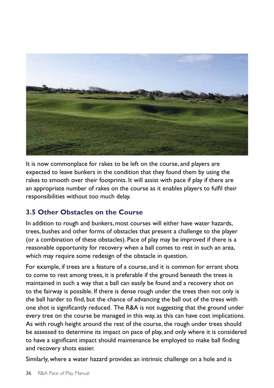

It is now commonplace for rakes to be left on the course, and players are expected to leave bunkers in the condition that they found them by using the rakes to smooth over their footprints. It will assist with pace if play if there are an appropriate number of rakes on the course as it enables players to fulfil their responsibilities without too much delay.

## **3.5 Other Obstacles on the Course**

In addition to rough and bunkers, most courses will either have water hazards, trees, bushes and other forms of obstacles that present a challenge to the player (or a combination of these obstacles). Pace of play may be improved if there is a reasonable opportunity for recovery when a ball comes to rest in such an area, which may require some redesign of the obstacle in question.

For example, if trees are a feature of a course, and it is common for errant shots to come to rest among trees, it is preferable if the ground beneath the trees is maintained in such a way that a ball can easily be found and a recovery shot on to the fairway is possible. If there is dense rough under the trees then not only is the ball harder to find, but the chance of advancing the ball out of the trees with one shot is significantly reduced. The R&A is not suggesting that the ground under every tree on the course be managed in this way, as this can have cost implications. As with rough height around the rest of the course, the rough under trees should be assessed to determine its impact on pace of play, and only where it is considered to have a significant impact should maintenance be employed to make ball finding and recovery shots easier.

Similarly, where a water hazard provides an intrinsic challenge on a hole and is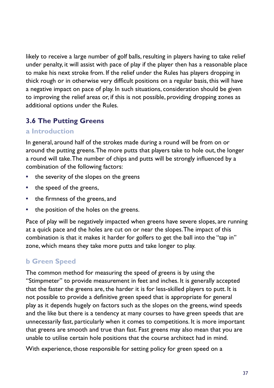likely to receive a large number of golf balls, resulting in players having to take relief under penalty, it will assist with pace of play if the player then has a reasonable place to make his next stroke from. If the relief under the Rules has players dropping in thick rough or in otherwise very difficult positions on a regular basis, this will have a negative impact on pace of play. In such situations, consideration should be given to improving the relief areas or, if this is not possible, providing dropping zones as additional options under the Rules.

# **3.6 The Putting Greens**

#### **a Introduction**

In general, around half of the strokes made during a round will be from on or around the putting greens. The more putts that players take to hole out, the longer a round will take. The number of chips and putts will be strongly influenced by a combination of the following factors:

- **•** the severity of the slopes on the greens
- **•** the speed of the greens,
- **•** the firmness of the greens, and
- **•** the position of the holes on the greens.

Pace of play will be negatively impacted when greens have severe slopes, are running at a quick pace and the holes are cut on or near the slopes. The impact of this combination is that it makes it harder for golfers to get the ball into the "tap in" zone, which means they take more putts and take longer to play.

## **b Green Speed**

The common method for measuring the speed of greens is by using the "Stimpmeter" to provide measurement in feet and inches. It is generally accepted that the faster the greens are, the harder it is for less-skilled players to putt. It is not possible to provide a definitive green speed that is appropriate for general play as it depends hugely on factors such as the slopes on the greens, wind speeds and the like but there is a tendency at many courses to have green speeds that are unnecessarily fast, particularly when it comes to competitions. It is more important that greens are smooth and true than fast. Fast greens may also mean that you are unable to utilise certain hole positions that the course architect had in mind.

With experience, those responsible for setting policy for green speed on a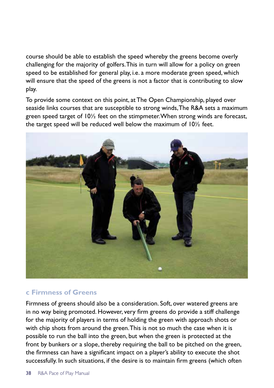course should be able to establish the speed whereby the greens become overly challenging for the majority of golfers. This in turn will allow for a policy on green speed to be established for general play, i.e. a more moderate green speed, which will ensure that the speed of the greens is not a factor that is contributing to slow play.

To provide some context on this point, at The Open Championship, played over seaside links courses that are susceptible to strong winds, The R&A sets a maximum green speed target of 10½ feet on the stimpmeter. When strong winds are forecast, the target speed will be reduced well below the maximum of 10½ feet.



#### **c Firmness of Greens**

Firmness of greens should also be a consideration. Soft, over watered greens are in no way being promoted. However, very firm greens do provide a stiff challenge for the majority of players in terms of holding the green with approach shots or with chip shots from around the green. This is not so much the case when it is possible to run the ball into the green, but when the green is protected at the front by bunkers or a slope, thereby requiring the ball to be pitched on the green, the firmness can have a significant impact on a player's ability to execute the shot successfully. In such situations, if the desire is to maintain firm greens (which often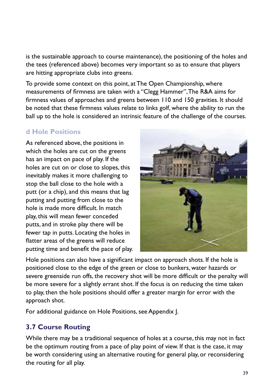is the sustainable approach to course maintenance), the positioning of the holes and the tees (referenced above) becomes very important so as to ensure that players are hitting appropriate clubs into greens.

To provide some context on this point, at The Open Championship, where measurements of firmness are taken with a "Clegg Hammer", The R&A aims for firmness values of approaches and greens between 110 and 150 gravities. It should be noted that these firmness values relate to links golf, where the ability to run the ball up to the hole is considered an intrinsic feature of the challenge of the courses.

## **d Hole Positions**

As referenced above, the positions in which the holes are cut on the greens has an impact on pace of play. If the holes are cut on or close to slopes, this inevitably makes it more challenging to stop the ball close to the hole with a putt (or a chip), and this means that lag putting and putting from close to the hole is made more difficult. In match play, this will mean fewer conceded putts, and in stroke play there will be fewer tap in putts. Locating the holes in flatter areas of the greens will reduce putting time and benefit the pace of play.



Hole positions can also have a significant impact on approach shots. If the hole is positioned close to the edge of the green or close to bunkers, water hazards or severe greenside run offs, the recovery shot will be more difficult or the penalty will be more severe for a slightly errant shot. If the focus is on reducing the time taken to play, then the hole positions should offer a greater margin for error with the approach shot.

For additional guidance on Hole Positions, see Appendix J.

# **3.7 Course Routing**

While there may be a traditional sequence of holes at a course, this may not in fact be the optimum routing from a pace of play point of view. If that is the case, it may be worth considering using an alternative routing for general play, or reconsidering the routing for all play.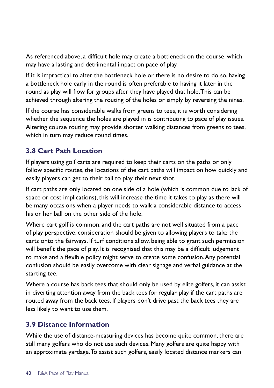As referenced above, a difficult hole may create a bottleneck on the course, which may have a lasting and detrimental impact on pace of play.

If it is impractical to alter the bottleneck hole or there is no desire to do so, having a bottleneck hole early in the round is often preferable to having it later in the round as play will flow for groups after they have played that hole. This can be achieved through altering the routing of the holes or simply by reversing the nines.

If the course has considerable walks from greens to tees, it is worth considering whether the sequence the holes are played in is contributing to pace of play issues. Altering course routing may provide shorter walking distances from greens to tees, which in turn may reduce round times.

## **3.8 Cart Path Location**

If players using golf carts are required to keep their carts on the paths or only follow specific routes, the locations of the cart paths will impact on how quickly and easily players can get to their ball to play their next shot.

If cart paths are only located on one side of a hole (which is common due to lack of space or cost implications), this will increase the time it takes to play as there will be many occasions when a player needs to walk a considerable distance to access his or her ball on the other side of the hole.

Where cart golf is common, and the cart paths are not well situated from a pace of play perspective, consideration should be given to allowing players to take the carts onto the fairways. If turf conditions allow, being able to grant such permission will benefit the pace of play. It is recognised that this may be a difficult judgement to make and a flexible policy might serve to create some confusion. Any potential confusion should be easily overcome with clear signage and verbal guidance at the starting tee.

Where a course has back tees that should only be used by elite golfers, it can assist in diverting attention away from the back tees for regular play if the cart paths are routed away from the back tees. If players don't drive past the back tees they are less likely to want to use them.

## **3.9 Distance Information**

While the use of distance-measuring devices has become quite common, there are still many golfers who do not use such devices. Many golfers are quite happy with an approximate yardage. To assist such golfers, easily located distance markers can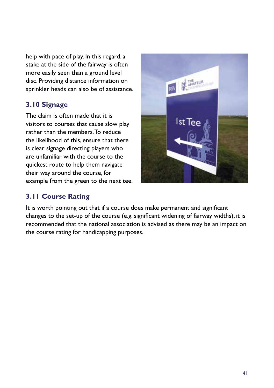help with pace of play. In this regard, a stake at the side of the fairway is often more easily seen than a ground level disc. Providing distance information on sprinkler heads can also be of assistance.

## **3.10 Signage**

The claim is often made that it is visitors to courses that cause slow play rather than the members. To reduce the likelihood of this, ensure that there is clear signage directing players who are unfamiliar with the course to the quickest route to help them navigate their way around the course, for example from the green to the next tee.

## **3.11 Course Rating**



It is worth pointing out that if a course does make permanent and significant changes to the set-up of the course (e.g. significant widening of fairway widths), it is recommended that the national association is advised as there may be an impact on the course rating for handicapping purposes.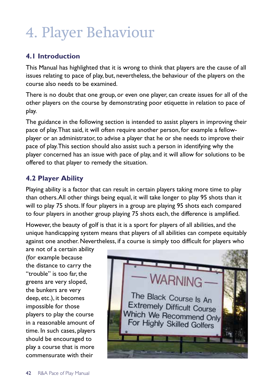# 4. Player Behaviour

# **4.1 Introduction**

This Manual has highlighted that it is wrong to think that players are the cause of all issues relating to pace of play, but, nevertheless, the behaviour of the players on the course also needs to be examined.

There is no doubt that one group, or even one player, can create issues for all of the other players on the course by demonstrating poor etiquette in relation to pace of play.

The guidance in the following section is intended to assist players in improving their pace of play. That said, it will often require another person, for example a fellowplayer or an administrator, to advise a player that he or she needs to improve their pace of play. This section should also assist such a person in identifying why the player concerned has an issue with pace of play, and it will allow for solutions to be offered to that player to remedy the situation.

# **4.2 Player Ability**

Playing ability is a factor that can result in certain players taking more time to play than others. All other things being equal, it will take longer to play 95 shots than it will to play 75 shots. If four players in a group are playing 95 shots each compared to four players in another group playing 75 shots each, the difference is amplified.

However, the beauty of golf is that it is a sport for players of all abilities, and the unique handicapping system means that players of all abilities can compete equitably against one another. Nevertheless, if a course is simply too difficult for players who

are not of a certain ability (for example because the distance to carry the "trouble" is too far, the greens are very sloped, the bunkers are very deep, etc.), it becomes impossible for those players to play the course in a reasonable amount of time. In such cases, players should be encouraged to play a course that is more commensurate with their

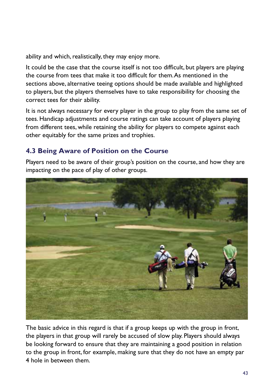ability and which, realistically, they may enjoy more.

It could be the case that the course itself is not too difficult, but players are playing the course from tees that make it too difficult for them. As mentioned in the sections above, alternative teeing options should be made available and highlighted to players, but the players themselves have to take responsibility for choosing the correct tees for their ability.

It is not always necessary for every player in the group to play from the same set of tees. Handicap adjustments and course ratings can take account of players playing from different tees, while retaining the ability for players to compete against each other equitably for the same prizes and trophies.

# **4.3 Being Aware of Position on the Course**

Players need to be aware of their group's position on the course, and how they are impacting on the pace of play of other groups.



The basic advice in this regard is that if a group keeps up with the group in front, the players in that group will rarely be accused of slow play. Players should always be looking forward to ensure that they are maintaining a good position in relation to the group in front, for example, making sure that they do not have an empty par 4 hole in between them.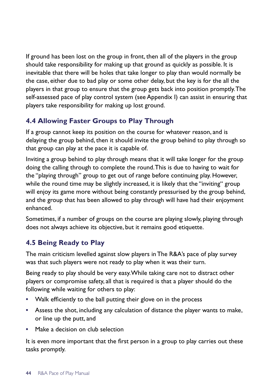If ground has been lost on the group in front, then all of the players in the group should take responsibility for making up that ground as quickly as possible. It is inevitable that there will be holes that take longer to play than would normally be the case, either due to bad play or some other delay, but the key is for the all the players in that group to ensure that the group gets back into position promptly. The self-assessed pace of play control system (see Appendix I) can assist in ensuring that players take responsibility for making up lost ground.

# **4.4 Allowing Faster Groups to Play Through**

If a group cannot keep its position on the course for whatever reason, and is delaying the group behind, then it should invite the group behind to play through so that group can play at the pace it is capable of.

Inviting a group behind to play through means that it will take longer for the group doing the calling through to complete the round. This is due to having to wait for the "playing through" group to get out of range before continuing play. However, while the round time may be slightly increased, it is likely that the "inviting" group will enjoy its game more without being constantly pressurised by the group behind, and the group that has been allowed to play through will have had their enjoyment enhanced.

Sometimes, if a number of groups on the course are playing slowly, playing through does not always achieve its objective, but it remains good etiquette.

## **4.5 Being Ready to Play**

The main criticism levelled against slow players in The R&A's pace of play survey was that such players were not ready to play when it was their turn.

Being ready to play should be very easy. While taking care not to distract other players or compromise safety, all that is required is that a player should do the following while waiting for others to play:

- **•** Walk efficiently to the ball putting their glove on in the process
- **•** Assess the shot, including any calculation of distance the player wants to make, or line up the putt, and
- **•** Make a decision on club selection

It is even more important that the first person in a group to play carries out these tasks promptly.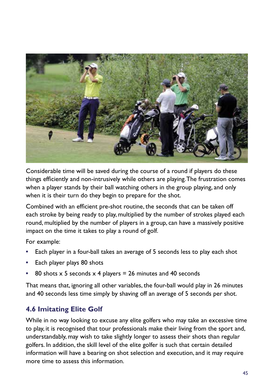

Considerable time will be saved during the course of a round if players do these things efficiently and non-intrusively while others are playing. The frustration comes when a player stands by their ball watching others in the group playing, and only when it is their turn do they begin to prepare for the shot.

Combined with an efficient pre-shot routine, the seconds that can be taken off each stroke by being ready to play, multiplied by the number of strokes played each round, multiplied by the number of players in a group, can have a massively positive impact on the time it takes to play a round of golf.

For example:

- **•** Each player in a four-ball takes an average of 5 seconds less to play each shot
- **•** Each player plays 80 shots
- **•** 80 shots x 5 seconds x 4 players = 26 minutes and 40 seconds

That means that, ignoring all other variables, the four-ball would play in 26 minutes and 40 seconds less time simply by shaving off an average of 5 seconds per shot.

# **4.6 Imitating Elite Golf**

While in no way looking to excuse any elite golfers who may take an excessive time to play, it is recognised that tour professionals make their living from the sport and, understandably, may wish to take slightly longer to assess their shots than regular golfers. In addition, the skill level of the elite golfer is such that certain detailed information will have a bearing on shot selection and execution, and it may require more time to assess this information.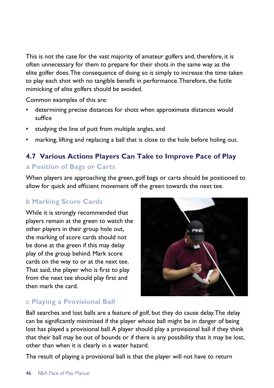This is not the case for the vast majority of amateur golfers and, therefore, it is often unnecessary for them to prepare for their shots in the same way as the elite golfer does. The consequence of doing so is simply to increase the time taken to play each shot with no tangible benefit in performance. Therefore, the futile mimicking of elite golfers should be avoided.

Common examples of this are:

- **•** determining precise distances for shots when approximate distances would suffice
- **•** studying the line of putt from multiple angles, and
- **•** marking, lifting and replacing a ball that is close to the hole before holing out.

# **4.7 Various Actions Players Can Take to Improve Pace of Play a Position of Bags or Carts**

When players are approaching the green, golf bags or carts should be positioned to allow for quick and efficient movement off the green towards the next tee.

# **b Marking Score Cards**

While it is strongly recommended that players remain at the green to watch the other players in their group hole out, the marking of score cards should not be done at the green if this may delay play of the group behind. Mark score cards on the way to or at the next tee. That said, the player who is first to play from the next tee should play first and then mark the card.



# **c Playing a Provisional Ball**

Ball searches and lost balls are a feature of golf, but they do cause delay. The delay can be significantly minimised if the player whose ball might be in danger of being lost has played a provisional ball. A player should play a provisional ball if they think that their ball may be out of bounds or if there is any possibility that it may be lost, other than when it is clearly in a water hazard.

The result of playing a provisional ball is that the player will not have to return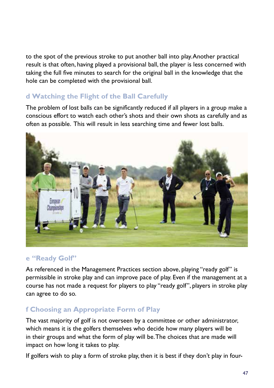to the spot of the previous stroke to put another ball into play. Another practical result is that often, having played a provisional ball, the player is less concerned with taking the full five minutes to search for the original ball in the knowledge that the hole can be completed with the provisional ball.

# **d Watching the Flight of the Ball Carefully**

The problem of lost balls can be significantly reduced if all players in a group make a conscious effort to watch each other's shots and their own shots as carefully and as often as possible. This will result in less searching time and fewer lost balls.



## **e "Ready Golf"**

As referenced in the Management Practices section above, playing "ready golf" is permissible in stroke play and can improve pace of play. Even if the management at a course has not made a request for players to play "ready golf", players in stroke play can agree to do so.

# **f Choosing an Appropriate Form of Play**

The vast majority of golf is not overseen by a committee or other administrator, which means it is the golfers themselves who decide how many players will be in their groups and what the form of play will be. The choices that are made will impact on how long it takes to play.

If golfers wish to play a form of stroke play, then it is best if they don't play in four-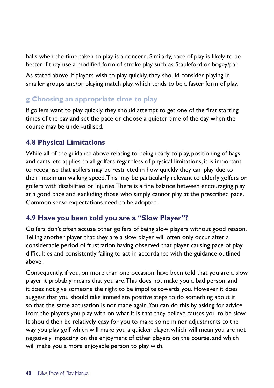balls when the time taken to play is a concern. Similarly, pace of play is likely to be better if they use a modified form of stroke play such as Stableford or bogey/par.

As stated above, if players wish to play quickly, they should consider playing in smaller groups and/or playing match play, which tends to be a faster form of play.

## **g Choosing an appropriate time to play**

If golfers want to play quickly, they should attempt to get one of the first starting times of the day and set the pace or choose a quieter time of the day when the course may be under-utilised.

## **4.8 Physical Limitations**

While all of the guidance above relating to being ready to play, positioning of bags and carts, etc applies to all golfers regardless of physical limitations, it is important to recognise that golfers may be restricted in how quickly they can play due to their maximum walking speed. This may be particularly relevant to elderly golfers or golfers with disabilities or injuries. There is a fine balance between encouraging play at a good pace and excluding those who simply cannot play at the prescribed pace. Common sense expectations need to be adopted.

## **4.9 Have you been told you are a "Slow Player"?**

Golfers don't often accuse other golfers of being slow players without good reason. Telling another player that they are a slow player will often only occur after a considerable period of frustration having observed that player causing pace of play difficulties and consistently failing to act in accordance with the guidance outlined above.

Consequently, if you, on more than one occasion, have been told that you are a slow player it probably means that you are. This does not make you a bad person, and it does not give someone the right to be impolite towards you. However, it does suggest that you should take immediate positive steps to do something about it so that the same accusation is not made again. You can do this by asking for advice from the players you play with on what it is that they believe causes you to be slow. It should then be relatively easy for you to make some minor adjustments to the way you play golf which will make you a quicker player, which will mean you are not negatively impacting on the enjoyment of other players on the course, and which will make you a more enjoyable person to play with.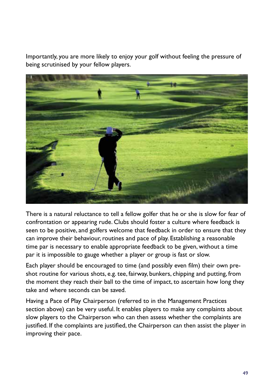Importantly, you are more likely to enjoy your golf without feeling the pressure of being scrutinised by your fellow players.



There is a natural reluctance to tell a fellow golfer that he or she is slow for fear of confrontation or appearing rude. Clubs should foster a culture where feedback is seen to be positive, and golfers welcome that feedback in order to ensure that they can improve their behaviour, routines and pace of play. Establishing a reasonable time par is necessary to enable appropriate feedback to be given, without a time par it is impossible to gauge whether a player or group is fast or slow.

Each player should be encouraged to time (and possibly even film) their own preshot routine for various shots, e.g. tee, fairway, bunkers, chipping and putting, from the moment they reach their ball to the time of impact, to ascertain how long they take and where seconds can be saved.

Having a Pace of Play Chairperson (referred to in the Management Practices section above) can be very useful. It enables players to make any complaints about slow players to the Chairperson who can then assess whether the complaints are justified. If the complaints are justified, the Chairperson can then assist the player in improving their pace.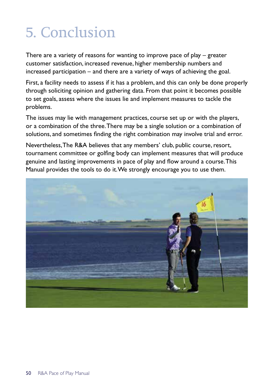# 5. Conclusion

There are a variety of reasons for wanting to improve pace of play – greater customer satisfaction, increased revenue, higher membership numbers and increased participation – and there are a variety of ways of achieving the goal.

First, a facility needs to assess if it has a problem, and this can only be done properly through soliciting opinion and gathering data. From that point it becomes possible to set goals, assess where the issues lie and implement measures to tackle the problems.

The issues may lie with management practices, course set up or with the players, or a combination of the three. There may be a single solution or a combination of solutions, and sometimes finding the right combination may involve trial and error.

Nevertheless, The R&A believes that any members' club, public course, resort, tournament committee or golfing body can implement measures that will produce genuine and lasting improvements in pace of play and flow around a course. This Manual provides the tools to do it. We strongly encourage you to use them.

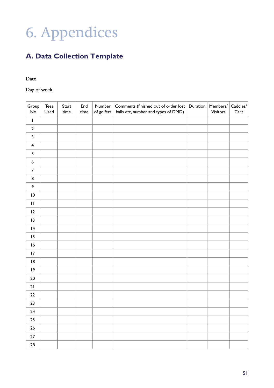# 6. Appendices

# **A. Data Collection Template**

Date

Day of week

| Group<br>No.            | $\mathsf{Tees}$<br>Used | Start<br>time | End<br>time | Number<br>of golfers | Comments (finished out of order, lost<br>balls etc, number and types of DMD) | Duration | Members/<br>Visitors | $\mathsf{C} {\sf addies}/$<br>Cart |
|-------------------------|-------------------------|---------------|-------------|----------------------|------------------------------------------------------------------------------|----------|----------------------|------------------------------------|
| T                       |                         |               |             |                      |                                                                              |          |                      |                                    |
| $\mathbf 2$             |                         |               |             |                      |                                                                              |          |                      |                                    |
| 3                       |                         |               |             |                      |                                                                              |          |                      |                                    |
| $\overline{\mathbf{4}}$ |                         |               |             |                      |                                                                              |          |                      |                                    |
| 5                       |                         |               |             |                      |                                                                              |          |                      |                                    |
| 6                       |                         |               |             |                      |                                                                              |          |                      |                                    |
| 7                       |                         |               |             |                      |                                                                              |          |                      |                                    |
| 8                       |                         |               |             |                      |                                                                              |          |                      |                                    |
| 9                       |                         |               |             |                      |                                                                              |          |                      |                                    |
| $\overline{10}$         |                         |               |             |                      |                                                                              |          |                      |                                    |
| $\bar{\mathbf{I}}$      |                         |               |             |                      |                                                                              |          |                      |                                    |
| 2                       |                         |               |             |                      |                                                                              |          |                      |                                    |
| $\vert$ 3               |                         |               |             |                      |                                                                              |          |                      |                                    |
| 4                       |                         |               |             |                      |                                                                              |          |                      |                                    |
| 15                      |                         |               |             |                      |                                                                              |          |                      |                                    |
| 6                       |                         |               |             |                      |                                                                              |          |                      |                                    |
| 17                      |                         |               |             |                      |                                                                              |          |                      |                                    |
| 18                      |                         |               |             |                      |                                                                              |          |                      |                                    |
| 19                      |                         |               |             |                      |                                                                              |          |                      |                                    |
| $20\,$                  |                         |               |             |                      |                                                                              |          |                      |                                    |
| 21                      |                         |               |             |                      |                                                                              |          |                      |                                    |
| ${\bf 22}$              |                         |               |             |                      |                                                                              |          |                      |                                    |
| 23                      |                         |               |             |                      |                                                                              |          |                      |                                    |
| 24                      |                         |               |             |                      |                                                                              |          |                      |                                    |
| 25                      |                         |               |             |                      |                                                                              |          |                      |                                    |
| 26                      |                         |               |             |                      |                                                                              |          |                      |                                    |
| $27\,$                  |                         |               |             |                      |                                                                              |          |                      |                                    |
| 28                      |                         |               |             |                      |                                                                              |          |                      |                                    |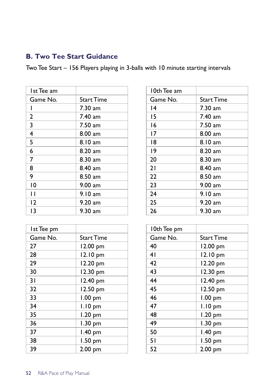# **B. Two Tee Start Guidance**

Two Tee Start – 156 Players playing in 3-balls with 10 minute starting intervals

| Ist Tee am   |                   | 10th Tee am |                   |
|--------------|-------------------|-------------|-------------------|
| Game No.     | <b>Start Time</b> | Game No.    | <b>Start Time</b> |
|              | $7.30$ am         | 4           | $7.30$ am         |
| $\mathbf{2}$ | $7.40$ am         | 15          | 7.40 am           |
| 3            | 7.50 am           | 16          | 7.50 am           |
| 4            | $8.00$ am         | 17          | $8.00 a$ m        |
| 5            | 8.10 am           | 18          | 8.10 am           |
| 6            | 8.20 am           | $ 9\rangle$ | $8.20$ am         |
| 7            | $8.30$ am         | 20          | 8.30 am           |
| 8            | 8.40 am           | 21          | 8.40 am           |
| 9            | 8.50 am           | 22          | 8.50 am           |
| 10           | $9.00$ am         | 23          | $9.00$ am         |
| П            | 9.10 am           | 24          | 9.10 am           |
| $ 2\rangle$  | $9.20$ am         | 25          | $9.20$ am         |
| 13           | 9.30 am           | 26          | $9.30$ am         |

| Ist Tee pm |                   | 10th Tee pm |                   |
|------------|-------------------|-------------|-------------------|
| Game No.   | <b>Start Time</b> | Game No.    | <b>Start Time</b> |
| 27         | 12.00 pm          | 40          | 12.00 pm          |
| 28         | 12.10 pm          | 41          | 12.10 pm          |
| 29         | 12.20 pm          | 42          | 12.20 pm          |
| 30         | 12.30 pm          | 43          | 12.30 pm          |
| 31         | 12.40 pm          | 44          | 12.40 pm          |
| 32         | 12.50 pm          | 45          | 12.50 pm          |
| 33         | $1.00$ pm         | 46          | $1.00$ pm         |
| 34         | I.I0 pm           | 47          | I.IO pm           |
| 35         | 1.20 pm           | 48          | 1.20 pm           |
| 36         | 1.30 pm           | 49          | 1.30 pm           |
| 37         | 1.40 pm           | 50          | $1.40$ pm         |
| 38         | 1.50 pm           | 51          | 1.50 pm           |
| 39         | 2.00 pm           | 52          | 2.00 pm           |
|            |                   |             |                   |

| l 0th Tee am |                   |  |  |  |
|--------------|-------------------|--|--|--|
| Game No.     | <b>Start Time</b> |  |  |  |
| 14           | 7.30 am           |  |  |  |
| 15           | 7.40 am           |  |  |  |
| 16           | 7.50 am           |  |  |  |
| 17           | 8.00 am           |  |  |  |
| 18           | 8.10 am           |  |  |  |
| 19           | $8.20$ am         |  |  |  |
| 20           | $8.30$ am         |  |  |  |
| 21           | 8.40 am           |  |  |  |
| 22           | $8.50$ am         |  |  |  |
| 23           | 9.00 am           |  |  |  |
| 24           | 9.10 am           |  |  |  |
| 25           | 9.20 am           |  |  |  |
| 26           | 9.30 am           |  |  |  |

| 10th Tee pm |            |
|-------------|------------|
| Game No.    | Start Time |
| 40          | 12.00 pm   |
| 41          | 12.10 pm   |
| 42          | 12.20 pm   |
| 43          | 12.30 pm   |
| 44          | 12.40 pm   |
| 45          | 12.50 pm   |
| 46          | $1.00$ pm  |
| 47          | $1.10$ pm  |
| 48          | 1.20 pm    |
| 49          | 1.30 pm    |
| 50          | $1.40$ pm  |
| 51          | 1.50 pm    |
| 52          | 2.00 pm    |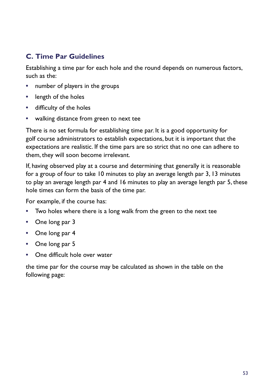# **C. Time Par Guidelines**

Establishing a time par for each hole and the round depends on numerous factors, such as the:

- **•** number of players in the groups
- **•** length of the holes
- **•** difficulty of the holes
- **•** walking distance from green to next tee

There is no set formula for establishing time par. It is a good opportunity for golf course administrators to establish expectations, but it is important that the expectations are realistic. If the time pars are so strict that no one can adhere to them, they will soon become irrelevant.

If, having observed play at a course and determining that generally it is reasonable for a group of four to take 10 minutes to play an average length par 3, 13 minutes to play an average length par 4 and 16 minutes to play an average length par 5, these hole times can form the basis of the time par.

For example, if the course has:

- **•** Two holes where there is a long walk from the green to the next tee
- **•** One long par 3
- **•** One long par 4
- **•** One long par 5
- **•** One difficult hole over water

the time par for the course may be calculated as shown in the table on the following page: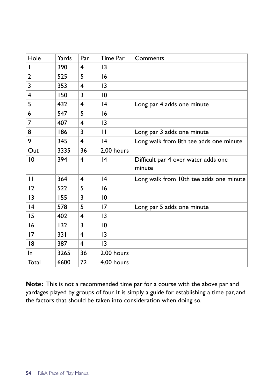| Hole            | Yards | Par | Time Par        | Comments                                      |
|-----------------|-------|-----|-----------------|-----------------------------------------------|
| L               | 390   | 4   | 13              |                                               |
| 2               | 525   | 5   | 16              |                                               |
| 3               | 353   | 4   | $\overline{13}$ |                                               |
| 4               | 150   | 3   | $\overline{10}$ |                                               |
| 5               | 432   | 4   | 4               | Long par 4 adds one minute                    |
| 6               | 547   | 5   | 16              |                                               |
| 7               | 407   | 4   | 13              |                                               |
| 8               | 186   | 3   | $\mathbf{H}$    | Long par 3 adds one minute                    |
| 9               | 345   | 4   | $\overline{14}$ | Long walk from 8th tee adds one minute        |
| Out             | 3335  | 36  | 2.00 hours      |                                               |
| $\overline{10}$ | 394   | 4   | 4               | Difficult par 4 over water adds one<br>minute |
| $\mathbf{H}$    | 364   | 4   | 4               | Long walk from 10th tee adds one minute       |
| 12              | 522   | 5   | 16              |                                               |
| $\overline{13}$ | 155   | 3   | $\overline{10}$ |                                               |
| 4               | 578   | 5   | 17              | Long par 5 adds one minute                    |
| 15              | 402   | 4   | 13              |                                               |
| 16              | 132   | 3   | $\overline{10}$ |                                               |
| 17              | 33 I  | 4   | $\overline{13}$ |                                               |
| 18              | 387   | 4   | 13              |                                               |
| In.             | 3265  | 36  | 2.00 hours      |                                               |
| Total           | 6600  | 72  | 4.00 hours      |                                               |

**Note:** This is not a recommended time par for a course with the above par and yardages played by groups of four. It is simply a guide for establishing a time par, and the factors that should be taken into consideration when doing so.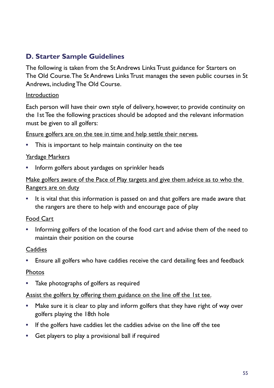## **D. Starter Sample Guidelines**

The following is taken from the St Andrews Links Trust guidance for Starters on The Old Course. The St Andrews Links Trust manages the seven public courses in St Andrews, including The Old Course.

#### Introduction

Each person will have their own style of delivery, however, to provide continuity on the 1st Tee the following practices should be adopted and the relevant information must be given to all golfers:

Ensure golfers are on the tee in time and help settle their nerves.

**•** This is important to help maintain continuity on the tee

#### Yardage Markers

**•** Inform golfers about yardages on sprinkler heads

Make golfers aware of the Pace of Play targets and give them advice as to who the Rangers are on duty

**•** It is vital that this information is passed on and that golfers are made aware that the rangers are there to help with and encourage pace of play

#### Food Cart

**•** Informing golfers of the location of the food cart and advise them of the need to maintain their position on the course

#### Caddies

**•** Ensure all golfers who have caddies receive the card detailing fees and feedback

#### Photos

**•** Take photographs of golfers as required

#### Assist the golfers by offering them guidance on the line off the 1st tee.

- **•** Make sure it is clear to play and inform golfers that they have right of way over golfers playing the 18th hole
- **•** If the golfers have caddies let the caddies advise on the line off the tee
- **•** Get players to play a provisional ball if required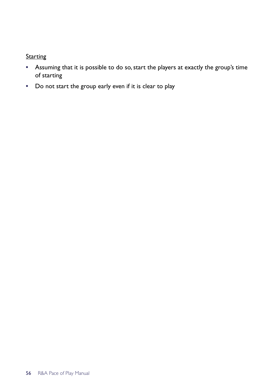## **Starting**

- **•** Assuming that it is possible to do so, start the players at exactly the group's time of starting
- **•** Do not start the group early even if it is clear to play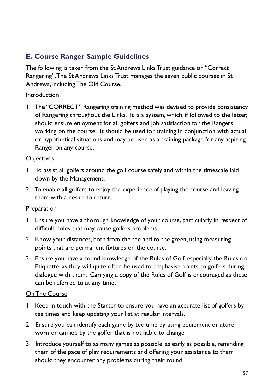# **E. Course Ranger Sample Guidelines**

The following is taken from the St Andrews Links Trust guidance on "Correct Rangering". The St Andrews Links Trust manages the seven public courses in St Andrews, including The Old Course.

#### Introduction

1. The "CORRECT" Rangering training method was devised to provide consistency of Rangering throughout the Links. It is a system, which, if followed to the letter, should ensure enjoyment for all golfers and job satisfaction for the Rangers working on the course. It should be used for training in conjunction with actual or hypothetical situations and may be used as a training package for any aspiring Ranger on any course.

#### **Objectives**

- 1. To assist all golfers around the golf course safely and within the timescale laid down by the Management.
- 2. To enable all golfers to enjoy the experience of playing the course and leaving them with a desire to return.

#### Preparation

- 1. Ensure you have a thorough knowledge of your course, particularly in respect of difficult holes that may cause golfers problems.
- 2. Know your distances, both from the tee and to the green, using measuring points that are permanent fixtures on the course.
- 3. Ensure you have a sound knowledge of the Rules of Golf, especially the Rules on Etiquette, as they will quite often be used to emphasise points to golfers during dialogue with them. Carrying a copy of the Rules of Golf is encouraged as these can be referred to at any time.

#### On The Course

- 1. Keep in touch with the Starter to ensure you have an accurate list of golfers by tee times and keep updating your list at regular intervals.
- 2. Ensure you can identify each game by tee time by using equipment or attire worn or carried by the golfer that is not liable to change.
- 3. Introduce yourself to as many games as possible, as early as possible, reminding them of the pace of play requirements and offering your assistance to them should they encounter any problems during their round.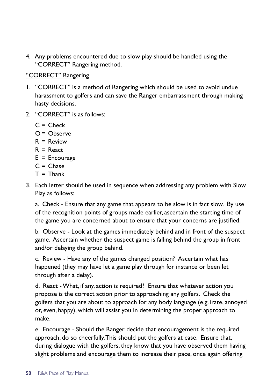4. Any problems encountered due to slow play should be handled using the "CORRECT" Rangering method.

#### "CORRECT" Rangering

- 1. "CORRECT" is a method of Rangering which should be used to avoid undue harassment to golfers and can save the Ranger embarrassment through making hasty decisions.
- 2. "CORRECT" is as follows:
	- $C =$ Check
	- O = Observe
	- $R =$  Review
	- $R =$ React
	- $E =$  Encourage
	- $C =$ Chase
	- $T = Thank$
- 3. Each letter should be used in sequence when addressing any problem with Slow Play as follows:

a. Check - Ensure that any game that appears to be slow is in fact slow. By use of the recognition points of groups made earlier, ascertain the starting time of the game you are concerned about to ensure that your concerns are justified.

b. Observe - Look at the games immediately behind and in front of the suspect game. Ascertain whether the suspect game is falling behind the group in front and/or delaying the group behind.

c. Review - Have any of the games changed position? Ascertain what has happened (they may have let a game play through for instance or been let through after a delay).

d. React - What, if any, action is required? Ensure that whatever action you propose is the correct action prior to approaching any golfers. Check the golfers that you are about to approach for any body language (e.g. irate, annoyed or, even, happy), which will assist you in determining the proper approach to make.

e. Encourage - Should the Ranger decide that encouragement is the required approach, do so cheerfully. This should put the golfers at ease. Ensure that, during dialogue with the golfers, they know that you have observed them having slight problems and encourage them to increase their pace, once again offering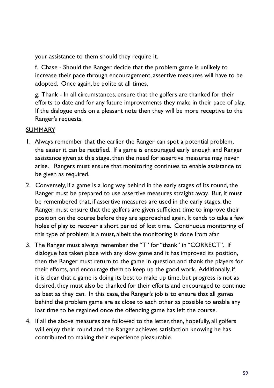your assistance to them should they require it.

f. Chase - Should the Ranger decide that the problem game is unlikely to increase their pace through encouragement, assertive measures will have to be adopted. Once again, be polite at all times.

g. Thank - In all circumstances, ensure that the golfers are thanked for their efforts to date and for any future improvements they make in their pace of play. If the dialogue ends on a pleasant note then they will be more receptive to the Ranger's requests.

#### SUMMARY

- 1. Always remember that the earlier the Ranger can spot a potential problem, the easier it can be rectified. If a game is encouraged early enough and Ranger assistance given at this stage, then the need for assertive measures may never arise. Rangers must ensure that monitoring continues to enable assistance to be given as required.
- 2. Conversely, if a game is a long way behind in the early stages of its round, the Ranger must be prepared to use assertive measures straight away. But, it must be remembered that, if assertive measures are used in the early stages, the Ranger must ensure that the golfers are given sufficient time to improve their position on the course before they are approached again. It tends to take a few holes of play to recover a short period of lost time. Continuous monitoring of this type of problem is a must, albeit the monitoring is done from afar.
- 3. The Ranger must always remember the "T" for "thank" in "CORRECT". If dialogue has taken place with any slow game and it has improved its position, then the Ranger must return to the game in question and thank the players for their efforts, and encourage them to keep up the good work. Additionally, if it is clear that a game is doing its best to make up time, but progress is not as desired, they must also be thanked for their efforts and encouraged to continue as best as they can. In this case, the Ranger's job is to ensure that all games behind the problem game are as close to each other as possible to enable any lost time to be regained once the offending game has left the course.
- 4. If all the above measures are followed to the letter, then, hopefully, all golfers will enjoy their round and the Ranger achieves satisfaction knowing he has contributed to making their experience pleasurable.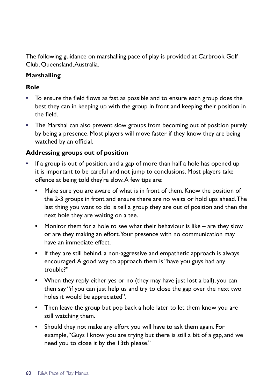The following guidance on marshalling pace of play is provided at Carbrook Golf Club, Queensland, Australia.

#### **Marshalling**

#### **Role**

- **•** To ensure the field flows as fast as possible and to ensure each group does the best they can in keeping up with the group in front and keeping their position in the field.
- **•** The Marshal can also prevent slow groups from becoming out of position purely by being a presence. Most players will move faster if they know they are being watched by an official.

#### **Addressing groups out of position**

- **•** If a group is out of position, and a gap of more than half a hole has opened up it is important to be careful and not jump to conclusions. Most players take offence at being told they're slow. A few tips are:
	- **•** Make sure you are aware of what is in front of them. Know the position of the 2-3 groups in front and ensure there are no waits or hold ups ahead. The last thing you want to do is tell a group they are out of position and then the next hole they are waiting on a tee.
	- **•** Monitor them for a hole to see what their behaviour is like are they slow or are they making an effort. Your presence with no communication may have an immediate effect.
	- **•** If they are still behind, a non-aggressive and empathetic approach is always encouraged. A good way to approach them is "have you guys had any trouble?"
	- **•** When they reply either yes or no (they may have just lost a ball), you can then say "if you can just help us and try to close the gap over the next two holes it would be appreciated".
	- **•** Then leave the group but pop back a hole later to let them know you are still watching them.
	- **•** Should they not make any effort you will have to ask them again. For example, "Guys I know you are trying but there is still a bit of a gap, and we need you to close it by the 13th please."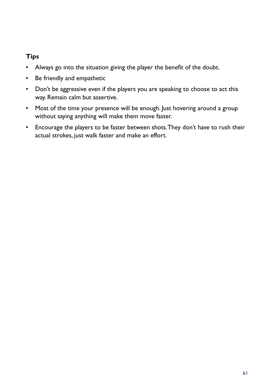### **Tips**

- **•** Always go into the situation giving the player the benefit of the doubt.
- **•** Be friendly and empathetic
- **•** Don't be aggressive even if the players you are speaking to choose to act this way. Remain calm but assertive.
- **•** Most of the time your presence will be enough. Just hovering around a group without saying anything will make them move faster.
- **•** Encourage the players to be faster between shots. They don't have to rush their actual strokes, just walk faster and make an effort.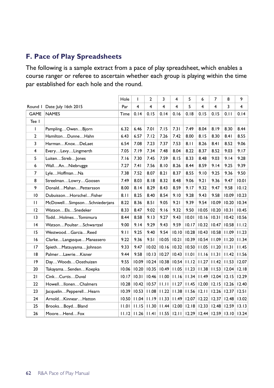## **F. Pace of Play Spreadsheets**

The following is a sample extract from a pace of play spreadsheet, which enables a course ranger or referee to ascertain whether each group is playing within the time par established for each hole and the round.

|                |                              | Hole  | T           | $\overline{2}$ | 3               | 4               | 5     | 6              | $\overline{7}$  | 8     | 9     |
|----------------|------------------------------|-------|-------------|----------------|-----------------|-----------------|-------|----------------|-----------------|-------|-------|
| Round I        | Date: July 16th 2015         |       | 4           | $\overline{4}$ | $\overline{4}$  | $\overline{4}$  | 5     | $\overline{4}$ | $\overline{4}$  | 3     | 4     |
| <b>GAME</b>    | <b>NAMES</b>                 |       | 0.14        | 0.15           | 0.14            | 0.16            | 0.18  | 0.15           | 0.15            | 0.11  | 0.14  |
| Tee I          |                              |       |             |                |                 |                 |       |                |                 |       |       |
| I              | PamplingOwenBjorn            | 6.32  | 6.46        | 7.01           | 7.15            | 7.31            | 7.49  | 8.04           | 8.19            | 8.30  | 8.44  |
| $\overline{2}$ | HamiltonDunneHahn            | 6.43  | 6.57        | 7.12           | 7.26            | 7.42            | 8.00  | 8.15           | 8.30            | 8.41  | 8.55  |
| 3              | HarmanKnoxDeLaet             | 6.54  | 7.08        | 7.23           | 7.37            | 7.53            | 8.11  | 8.26           | 8.41            | 8.52  | 9.06  |
| $\overline{4}$ | EveryLevyLingmerth           | 7.05  | 7.19        | 7.34           | 7.48            | 8.04            | 8.22  | 8.37           | 8.52            | 9.03  | 9.17  |
| 5              | LuitenStrebJones             | 7.16  | 7.30        | 7.45           | 7.59            | 8.15            | 8.33  | 8.48           | 9.03            | 9.14  | 9.28  |
| 6              | WallAnNiebrugge              | 7.27  | 7.41        | 7.56           | 8.10            | 8.26            | 8.44  | 8.59           | 9.14            | 9.25  | 9.39  |
| $\overline{7}$ | LyleHoffmanNa                | 7.38  | 7.52        | 8.07           | 8.21            | 8.37            | 8.55  | 9.10           | 9.25            | 9.36  | 9.50  |
| 8              | StreelmanLowryGoosen         | 7.49  | 8.03        | 8.18           | 8.32            | 8.48            | 9.06  | 9.21           | 9.36            | 9.47  | 10.01 |
| 9              | DonaldMahanPettersson        | 8.00  | 8.14        | 8.29           | 8.43            | 8.59            | 9.17  | 9.32           | 9.47            | 9.58  | 10.12 |
| 10             | DubuissonHorschelFisher      |       | 8.25        | 8.40           | 8.54            | 9.10            | 9.28  | 9.43           | 9.58            | 10.09 | 10.23 |
| $\mathbf{H}$   | McDowellSimpsonSchniederjans |       | 8.36        | 8.51           | 9.05            | 9.21            | 9.39  | 9.54           | 10.09           | 10.20 | 10.34 |
| 12             | WatsonElsSnedeker            | 8.33  | 8.47        | 9.02           | 9.16            | 9.32            | 9.50  | 10.05          | 10.20           | 10.31 | 10.45 |
| 13             | ToddHolmesTomimura           | 8.44  | 8.58        | 9.13           | 9.27            | 9.43            | 10.01 | 10.16          | 10.31           | 10.42 | 10.56 |
| 4              | WatsonPoulterSchwartzel      | 9.00  | 9.14        | 9.29           | 9.43            | 9.59            | 10.17 | 10.32          | 10.47           | 10.58 | 11.12 |
| 15             | WestwoodGarciaReed           | 9.11  | 9.25        | 9.40           | 9.54            | 10.10           | 10.28 | 10.43          | 10.58           | 11.09 | 11.23 |
| 16             | ClarkeLangasqueManassero     | 9.22  | 9.36        | 9.51           | 10.05           | 10.21           | 10.39 |                | $10.54$   11.09 | 11.20 | 11.34 |
| 17             | SpiethMatsuyamaJohnson       | 9.33  | 9.47        | 10.02          | 10.16           | 10.32           | 10.50 | 11.05          | 11.20           | 11.31 | 11.45 |
| 18             | PalmerLawrieKisner           | 9.44  | 9.58        | 10.13          | 10.27           | 10.43           | 11.01 |                | $11.16$   11.31 | 11.42 | 11.56 |
| 9              | DayWoodsOosthuizen           | 9.55  | 10.09       | 10.24          |                 | $10.38$ $10.54$ | 11.12 | 11.27          | 11.42           | 11.53 | 12.07 |
| 20             | TakayamaSendenKoepka         | 10.06 | 10.20       | 10.35          |                 | $10.49$   11.05 | 11.23 | 11.38          | 11.53           | 12.04 | 12.18 |
| 21             | CinkCurtisDuval              | 10.17 | 10.31       | 10.46          |                 | $11.00$ 11.16   | 11.34 | 11.49          | 12.04           | 12.15 | 12.29 |
| 22             | HowellIlonenChalmers         | 10.28 | 10.42       | 10.57          | 11.11           | 11.27           | 11.45 | 12.00          | 12.15           | 12.26 | 12.40 |
| 23             | JacquelinPepperellHearn      | 10.39 | 10.53       | 11.08          | 11.22           | 11.38           | 11.56 | 12.11          | 12.26           | 12.37 | 12.51 |
| 24             | ArnoldKinnearHatton          | 10.50 | 11.04       | 11.19          | 11.33           | 11.49           | 12.07 | 12.22          | 12.37           | 12.48 | 13.02 |
| 25             | BrooksBoydBland              | 11.01 | 11.15       | 11.30          | 11.44           | 12.00           | 12.18 | 12.33          | 12.48           | 12.59 | 13.13 |
| 26             | MooreHendFox                 |       | 11.12 11.26 | 11.4           | $11.55$   12.11 |                 | 12.29 | 12.44          | 12.59           | 13.10 | 13.24 |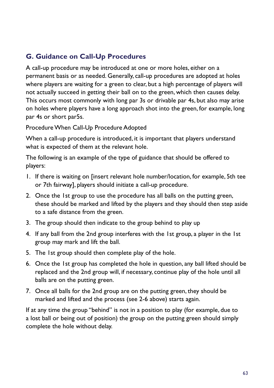# **G. Guidance on Call-Up Procedures**

A call-up procedure may be introduced at one or more holes, either on a permanent basis or as needed. Generally, call-up procedures are adopted at holes where players are waiting for a green to clear, but a high percentage of players will not actually succeed in getting their ball on to the green, which then causes delay. This occurs most commonly with long par 3s or drivable par 4s, but also may arise on holes where players have a long approach shot into the green, for example, long par 4s or short par5s.

Procedure When Call-Up Procedure Adopted

When a call-up procedure is introduced, it is important that players understand what is expected of them at the relevant hole.

The following is an example of the type of guidance that should be offered to players:

- 1. If there is waiting on [insert relevant hole number/location, for example, 5th tee or 7th fairway], players should initiate a call-up procedure.
- 2. Once the 1st group to use the procedure has all balls on the putting green, these should be marked and lifted by the players and they should then step aside to a safe distance from the green.
- 3. The group should then indicate to the group behind to play up
- 4. If any ball from the 2nd group interferes with the 1st group, a player in the 1st group may mark and lift the ball.
- 5. The 1st group should then complete play of the hole.
- 6. Once the 1st group has completed the hole in question, any ball lifted should be replaced and the 2nd group will, if necessary, continue play of the hole until all balls are on the putting green.
- 7. Once all balls for the 2nd group are on the putting green, they should be marked and lifted and the process (see 2-6 above) starts again.

If at any time the group "behind" is not in a position to play (for example, due to a lost ball or being out of position) the group on the putting green should simply complete the hole without delay.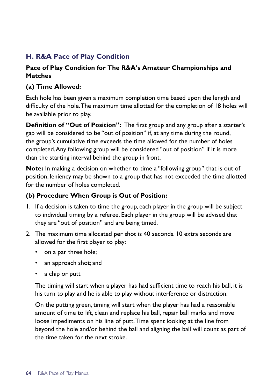# **H. R&A Pace of Play Condition**

#### **Pace of Play Condition for The R&A's Amateur Championships and Matches**

#### **(a) Time Allowed:**

Each hole has been given a maximum completion time based upon the length and difficulty of the hole. The maximum time allotted for the completion of 18 holes will be available prior to play.

**Definition of "Out of Position":** The first group and any group after a starter's gap will be considered to be "out of position" if, at any time during the round, the group's cumulative time exceeds the time allowed for the number of holes completed. Any following group will be considered "out of position" if it is more than the starting interval behind the group in front.

**Note:** In making a decision on whether to time a "following group" that is out of position, leniency may be shown to a group that has not exceeded the time allotted for the number of holes completed.

#### **(b) Procedure When Group is Out of Position:**

- 1. If a decision is taken to time the group, each player in the group will be subject to individual timing by a referee. Each player in the group will be advised that they are "out of position" and are being timed.
- 2. The maximum time allocated per shot is 40 seconds. 10 extra seconds are allowed for the first player to play:
	- on a par three hole;
	- an approach shot; and
	- a chip or putt

The timing will start when a player has had sufficient time to reach his ball, it is his turn to play and he is able to play without interference or distraction.

On the putting green, timing will start when the player has had a reasonable amount of time to lift, clean and replace his ball, repair ball marks and move loose impediments on his line of putt. Time spent looking at the line from beyond the hole and/or behind the ball and aligning the ball will count as part of the time taken for the next stroke.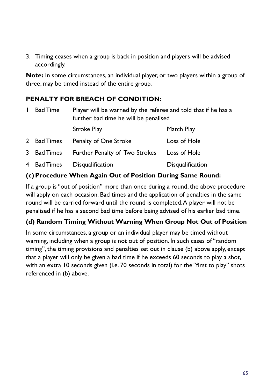3. Timing ceases when a group is back in position and players will be advised accordingly.

**Note:** In some circumstances, an individual player, or two players within a group of three, may be timed instead of the entire group.

## **PENALTY FOR BREACH OF CONDITION:**

| <b>Bad Time</b> | Player will be warned by the referee and told that if he has a<br>further bad time he will be penalised |                  |  |  |  |
|-----------------|---------------------------------------------------------------------------------------------------------|------------------|--|--|--|
|                 | Stroke Play                                                                                             | Match Play       |  |  |  |
| 2 Bad Times     | Penalty of One Stroke                                                                                   | Loss of Hole     |  |  |  |
| 3 Bad Times     | Further Penalty of Two Strokes                                                                          | Loss of Hole     |  |  |  |
| 4 Bad Times     | Disqualification                                                                                        | Disqualification |  |  |  |

#### **(c)Procedure When Again Out of Position During Same Round:**

If a group is "out of position" more than once during a round, the above procedure will apply on each occasion. Bad times and the application of penalties in the same round will be carried forward until the round is completed. A player will not be penalised if he has a second bad time before being advised of his earlier bad time.

## **(d) Random Timing Without Warning When Group Not Out of Position**

In some circumstances, a group or an individual player may be timed without warning, including when a group is not out of position. In such cases of "random timing", the timing provisions and penalties set out in clause (b) above apply, except that a player will only be given a bad time if he exceeds 60 seconds to play a shot, with an extra 10 seconds given (i.e. 70 seconds in total) for the "first to play" shots referenced in (b) above.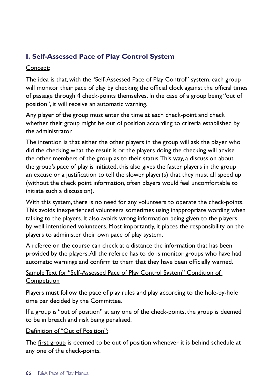# **I. Self-Assessed Pace of Play Control System**

#### Concept:

The idea is that, with the "Self-Assessed Pace of Play Control" system, each group will monitor their pace of play by checking the official clock against the official times of passage through 4 check-points themselves. In the case of a group being "out of position", it will receive an automatic warning.

Any player of the group must enter the time at each check-point and check whether their group might be out of position according to criteria established by the administrator.

The intention is that either the other players in the group will ask the player who did the checking what the result is or the players doing the checking will advise the other members of the group as to their status. This way, a discussion about the group's pace of play is initiated; this also gives the faster players in the group an excuse or a justification to tell the slower player(s) that they must all speed up (without the check point information, often players would feel uncomfortable to initiate such a discussion).

With this system, there is no need for any volunteers to operate the check-points. This avoids inexperienced volunteers sometimes using inappropriate wording when talking to the players. It also avoids wrong information being given to the players by well intentioned volunteers. Most importantly, it places the responsibility on the players to administer their own pace of play system.

A referee on the course can check at a distance the information that has been provided by the players. All the referee has to do is monitor groups who have had automatic warnings and confirm to them that they have been officially warned.

## Sample Text for "Self-Assessed Pace of Play Control System" Condition of **Competition**

Players must follow the pace of play rules and play according to the hole-by-hole time par decided by the Committee.

If a group is "out of position" at any one of the check-points, the group is deemed to be in breach and risk being penalised.

#### Definition of "Out of Position":

The first group is deemed to be out of position whenever it is behind schedule at any one of the check-points.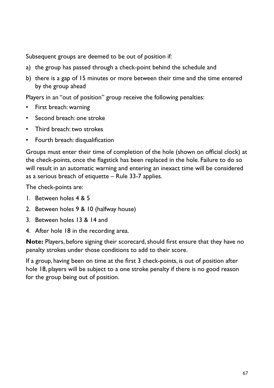Subsequent groups are deemed to be out of position if:

- a) the group has passed through a check-point behind the schedule and
- b) there is a gap of 15 minutes or more between their time and the time entered by the group ahead

Players in an "out of position" group receive the following penalties:

- First breach: warning
- Second breach: one stroke
- Third breach: two strokes
- Fourth breach: disqualification

Groups must enter their time of completion of the hole (shown on official clock) at the check-points, once the flagstick has been replaced in the hole. Failure to do so will result in an automatic warning and entering an inexact time will be considered as a serious breach of etiquette – Rule 33-7 applies.

The check-points are:

- 1. Between holes 4 & 5
- 2. Between holes 9 & 10 (halfway house)
- 3. Between holes 13 & 14 and
- 4. After hole 18 in the recording area.

**Note:** Players, before signing their scorecard, should first ensure that they have no penalty strokes under those conditions to add to their score.

If a group, having been on time at the first 3 check-points, is out of position after hole 18, players will be subject to a one stroke penalty if there is no good reason for the group being out of position.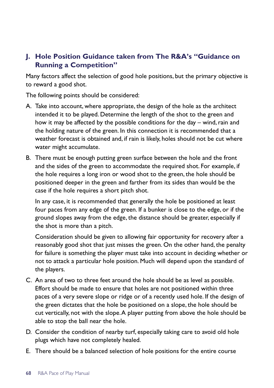## **J. Hole Position Guidance taken from The R&A's "Guidance on Running a Competition"**

Many factors affect the selection of good hole positions, but the primary objective is to reward a good shot.

The following points should be considered:

- A. Take into account, where appropriate, the design of the hole as the architect intended it to be played. Determine the length of the shot to the green and how it may be affected by the possible conditions for the day – wind, rain and the holding nature of the green. In this connection it is recommended that a weather forecast is obtained and, if rain is likely, holes should not be cut where water might accumulate.
- B. There must be enough putting green surface between the hole and the front and the sides of the green to accommodate the required shot. For example, if the hole requires a long iron or wood shot to the green, the hole should be positioned deeper in the green and farther from its sides than would be the case if the hole requires a short pitch shot.

In any case, it is recommended that generally the hole be positioned at least four paces from any edge of the green. If a bunker is close to the edge, or if the ground slopes away from the edge, the distance should be greater, especially if the shot is more than a pitch.

Consideration should be given to allowing fair opportunity for recovery after a reasonably good shot that just misses the green. On the other hand, the penalty for failure is something the player must take into account in deciding whether or not to attack a particular hole position. Much will depend upon the standard of the players.

- C. An area of two to three feet around the hole should be as level as possible. Effort should be made to ensure that holes are not positioned within three paces of a very severe slope or ridge or of a recently used hole. If the design of the green dictates that the hole be positioned on a slope, the hole should be cut vertically, not with the slope. A player putting from above the hole should be able to stop the ball near the hole.
- D. Consider the condition of nearby turf, especially taking care to avoid old hole plugs which have not completely healed.
- E. There should be a balanced selection of hole positions for the entire course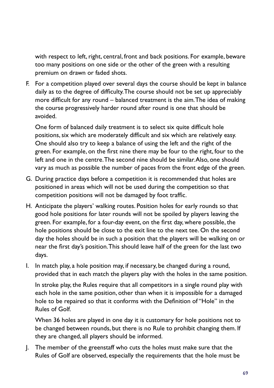with respect to left, right, central, front and back positions. For example, beware too many positions on one side or the other of the green with a resulting premium on drawn or faded shots.

F. For a competition played over several days the course should be kept in balance daily as to the degree of difficulty. The course should not be set up appreciably more difficult for any round – balanced treatment is the aim. The idea of making the course progressively harder round after round is one that should be avoided.

One form of balanced daily treatment is to select six quite difficult hole positions, six which are moderately difficult and six which are relatively easy. One should also try to keep a balance of using the left and the right of the green. For example, on the first nine there may be four to the right, four to the left and one in the centre. The second nine should be similar. Also, one should vary as much as possible the number of paces from the front edge of the green.

- G. During practice days before a competition it is recommended that holes are positioned in areas which will not be used during the competition so that competition positions will not be damaged by foot traffic.
- H. Anticipate the players' walking routes. Position holes for early rounds so that good hole positions for later rounds will not be spoiled by players leaving the green. For example, for a four-day event, on the first day, where possible, the hole positions should be close to the exit line to the next tee. On the second day the holes should be in such a position that the players will be walking on or near the first day's position. This should leave half of the green for the last two days.
- I. In match play, a hole position may, if necessary, be changed during a round, provided that in each match the players play with the holes in the same position.

In stroke play, the Rules require that all competitors in a single round play with each hole in the same position, other than when it is impossible for a damaged hole to be repaired so that it conforms with the Definition of "Hole" in the Rules of Golf.

When 36 holes are played in one day it is customary for hole positions not to be changed between rounds, but there is no Rule to prohibit changing them. If they are changed, all players should be informed.

J. The member of the greenstaff who cuts the holes must make sure that the Rules of Golf are observed, especially the requirements that the hole must be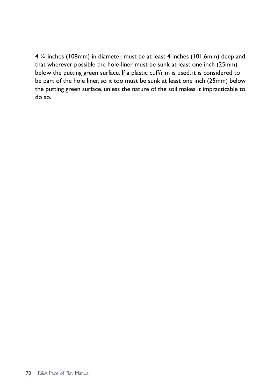4 ¼ inches (108mm) in diameter, must be at least 4 inches (101.6mm) deep and that wherever possible the hole-liner must be sunk at least one inch (25mm) below the putting green surface. If a plastic cuff/rim is used, it is considered to be part of the hole liner, so it too must be sunk at least one inch (25mm) below the putting green surface, unless the nature of the soil makes it impracticable to do so.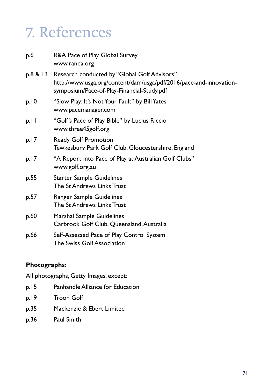## 7. References

| p.6  | R&A Pace of Play Global Survey<br>www.randa.org                                                                                                                           |
|------|---------------------------------------------------------------------------------------------------------------------------------------------------------------------------|
|      | p.8 & 13 Research conducted by "Global Golf Advisors"<br>http://www.usga.org/content/dam/usga/pdf/2016/pace-and-innovation-<br>symposium/Pace-of-Play-Financial-Study.pdf |
| p.10 | "Slow Play: It's Not Your Fault" by Bill Yates<br>www.pacemanager.com                                                                                                     |
| $p.$ | "Golf's Pace of Play Bible" by Lucius Riccio<br>www.three45golf.org                                                                                                       |
| p.17 | Ready Golf Promotion<br>Tewkesbury Park Golf Club, Gloucestershire, England                                                                                               |
| p.17 | "A Report into Pace of Play at Australian Golf Clubs"<br>www.golf.org.au                                                                                                  |
| p.55 | <b>Starter Sample Guidelines</b><br>The St Andrews Links Trust                                                                                                            |
| p.57 | Ranger Sample Guidelines<br>The St Andrews Links Trust                                                                                                                    |
| p.60 | Marshal Sample Guidelines<br>Carbrook Golf Club, Queensland, Australia                                                                                                    |
| p.66 | Self-Assessed Pace of Play Control System<br>The Swiss Golf Association                                                                                                   |

## **Photographs:**

All photographs, Getty Images, except:

- p.15 Panhandle Alliance for Education
- p.19 Troon Golf
- p.35 Mackenzie & Ebert Limited
- p.36 Paul Smith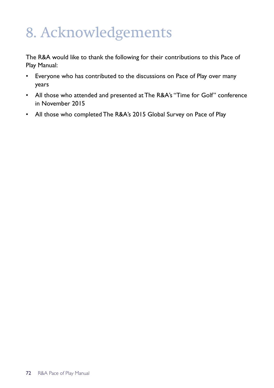## 8. Acknowledgements

The R&A would like to thank the following for their contributions to this Pace of Play Manual:

- Everyone who has contributed to the discussions on Pace of Play over many years
- All those who attended and presented at The R&A's "Time for Golf" conference in November 2015
- All those who completed The R&A's 2015 Global Survey on Pace of Play